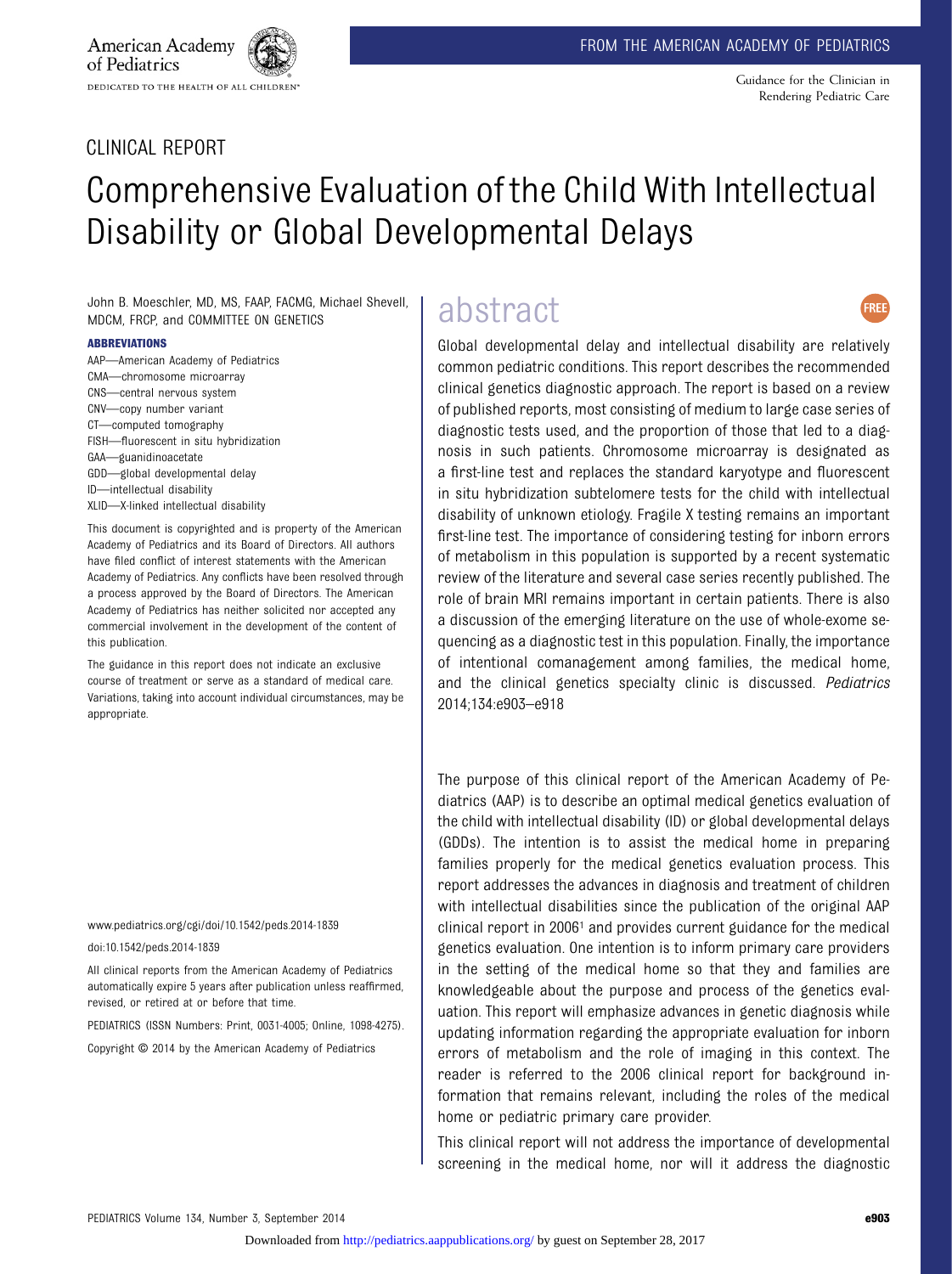**FRFF** 

### CLINICAL REPORT

American Academy

DEDICATED TO THE HEALTH OF ALL CHILDREN"

of Pediatrics

John B. Moeschler, MD, MS, FAAP, FACMG, Michael Shevell, MDCM, FRCP, and COMMITTEE ON GENETICS

.................<br>AAP—American Academy of Pediatrics CMA—chromosome microarray CNS—central nervous system CNV—copy number variant CT—computed tomography FISH—fluorescent in situ hybridization GAA—guanidinoacetate GDD—global developmental delay ID—intellectual disability XLID—X-linked intellectual disability

This document is copyrighted and is property of the American Academy of Pediatrics and its Board of Directors. All authors have filed conflict of interest statements with the American Academy of Pediatrics. Any conflicts have been resolved through a process approved by the Board of Directors. The American Academy of Pediatrics has neither solicited nor accepted any commercial involvement in the development of the content of this publication.

The guidance in this report does not indicate an exclusive course of treatment or serve as a standard of medical care. Variations, taking into account individual circumstances, may be appropriate.

www.pediatrics.org/cgi/doi/10.1542/peds.2014-1839

doi:10.1542/peds.2014-1839

All clinical reports from the American Academy of Pediatrics automatically expire 5 years after publication unless reaffirmed, revised, or retired at or before that time.

PEDIATRICS (ISSN Numbers: Print, 0031-4005; Online, 1098-4275).

Copyright © 2014 by the American Academy of Pediatrics

# abstract

Global developmental delay and intellectual disability are relatively common pediatric conditions. This report describes the recommended clinical genetics diagnostic approach. The report is based on a review of published reports, most consisting of medium to large case series of diagnostic tests used, and the proportion of those that led to a diagnosis in such patients. Chromosome microarray is designated as a first-line test and replaces the standard karyotype and fluorescent in situ hybridization subtelomere tests for the child with intellectual disability of unknown etiology. Fragile X testing remains an important first-line test. The importance of considering testing for inborn errors of metabolism in this population is supported by a recent systematic review of the literature and several case series recently published. The role of brain MRI remains important in certain patients. There is also a discussion of the emerging literature on the use of whole-exome sequencing as a diagnostic test in this population. Finally, the importance of intentional comanagement among families, the medical home, and the clinical genetics specialty clinic is discussed. Pediatrics 2014;134:e903–e918

The purpose of this clinical report of the American Academy of Pediatrics (AAP) is to describe an optimal medical genetics evaluation of the child with intellectual disability (ID) or global developmental delays (GDDs). The intention is to assist the medical home in preparing families properly for the medical genetics evaluation process. This report addresses the advances in diagnosis and treatment of children with intellectual disabilities since the publication of the original AAP clinical report in 20061 and provides current guidance for the medical genetics evaluation. One intention is to inform primary care providers in the setting of the medical home so that they and families are knowledgeable about the purpose and process of the genetics evaluation. This report will emphasize advances in genetic diagnosis while updating information regarding the appropriate evaluation for inborn errors of metabolism and the role of imaging in this context. The reader is referred to the 2006 clinical report for background information that remains relevant, including the roles of the medical home or pediatric primary care provider.

This clinical report will not address the importance of developmental screening in the medical home, nor will it address the diagnostic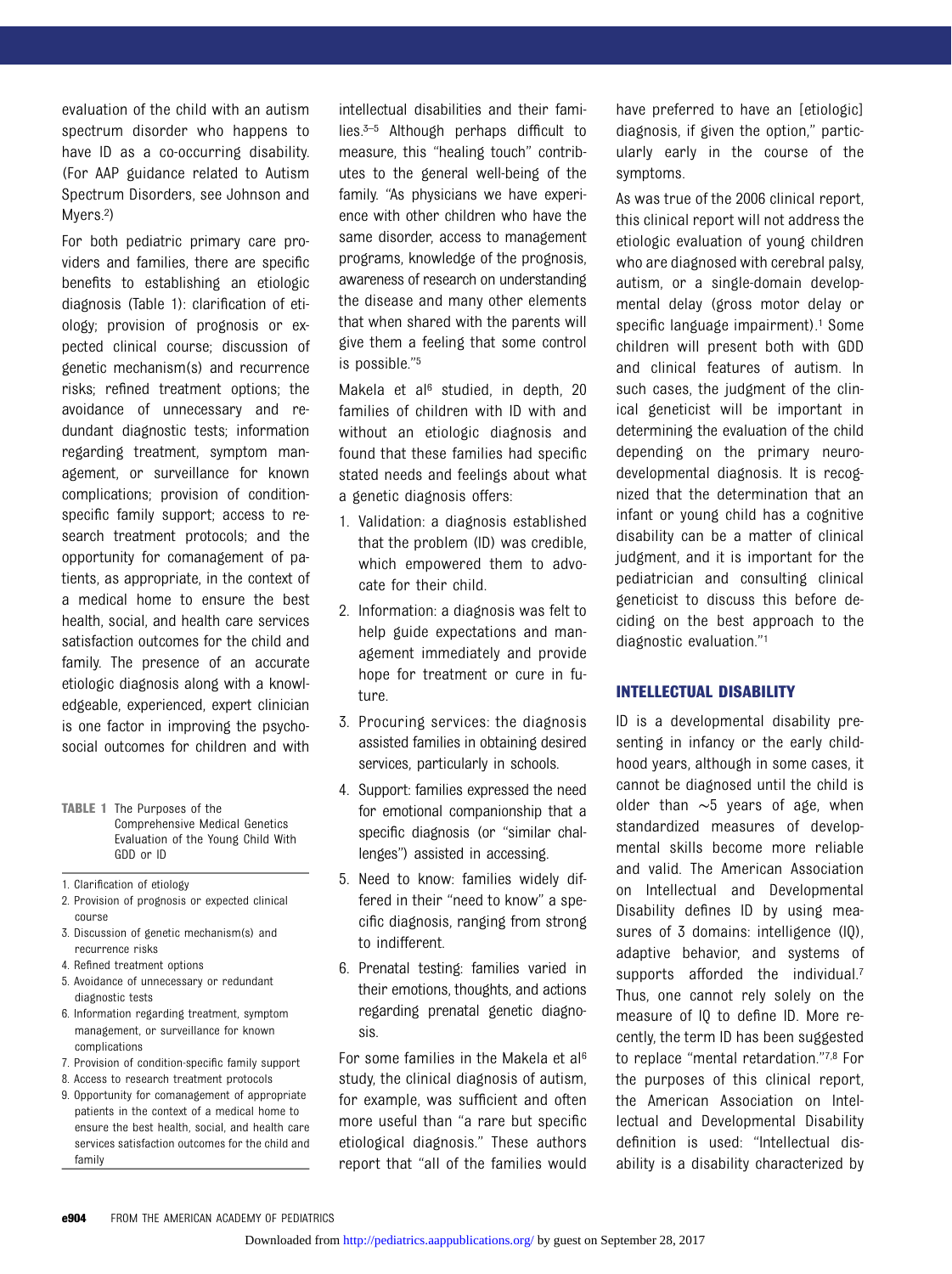evaluation of the child with an autism spectrum disorder who happens to have ID as a co-occurring disability. (For AAP guidance related to Autism Spectrum Disorders, see Johnson and Myers.2)

For both pediatric primary care providers and families, there are specific benefits to establishing an etiologic diagnosis (Table 1): clarification of etiology; provision of prognosis or expected clinical course; discussion of genetic mechanism(s) and recurrence risks; refined treatment options; the avoidance of unnecessary and redundant diagnostic tests; information regarding treatment, symptom management, or surveillance for known complications; provision of conditionspecific family support; access to research treatment protocols; and the opportunity for comanagement of patients, as appropriate, in the context of a medical home to ensure the best health, social, and health care services satisfaction outcomes for the child and family. The presence of an accurate etiologic diagnosis along with a knowledgeable, experienced, expert clinician is one factor in improving the psychosocial outcomes for children and with

- TABLE 1 The Purposes of the Comprehensive Medical Genetics Evaluation of the Young Child With GDD or ID
- 1. Clarification of etiology
- 2. Provision of prognosis or expected clinical course
- 3. Discussion of genetic mechanism(s) and recurrence risks
- 4. Refined treatment options
- 5. Avoidance of unnecessary or redundant diagnostic tests
- 6. Information regarding treatment, symptom management, or surveillance for known complications
- 7. Provision of condition-specific family support
- 8. Access to research treatment protocols
- 9. Opportunity for comanagement of appropriate patients in the context of a medical home to ensure the best health, social, and health care services satisfaction outcomes for the child and family

intellectual disabilities and their families.3–<sup>5</sup> Although perhaps difficult to measure, this "healing touch" contributes to the general well-being of the family. "As physicians we have experience with other children who have the same disorder, access to management programs, knowledge of the prognosis, awareness of research on understanding the disease and many other elements that when shared with the parents will give them a feeling that some control is possible."<sup>5</sup>

Makela et al<sup>6</sup> studied, in depth, 20 families of children with ID with and without an etiologic diagnosis and found that these families had specific stated needs and feelings about what a genetic diagnosis offers:

- 1. Validation: a diagnosis established that the problem (ID) was credible, which empowered them to advocate for their child.
- 2. Information: a diagnosis was felt to help guide expectations and management immediately and provide hope for treatment or cure in future.
- 3. Procuring services: the diagnosis assisted families in obtaining desired services, particularly in schools.
- 4. Support: families expressed the need for emotional companionship that a specific diagnosis (or "similar challenges") assisted in accessing.
- 5. Need to know: families widely differed in their "need to know" a specific diagnosis, ranging from strong to indifferent.
- 6. Prenatal testing: families varied in their emotions, thoughts, and actions regarding prenatal genetic diagnosis.

For some families in the Makela et al6 study, the clinical diagnosis of autism, for example, was sufficient and often more useful than "a rare but specific etiological diagnosis." These authors report that "all of the families would

have preferred to have an [etiologic] diagnosis, if given the option," particularly early in the course of the symptoms.

As was true of the 2006 clinical report, this clinical report will not address the etiologic evaluation of young children who are diagnosed with cerebral palsy, autism, or a single-domain developmental delay (gross motor delay or specific language impairment).<sup>1</sup> Some children will present both with GDD and clinical features of autism. In such cases, the judgment of the clinical geneticist will be important in determining the evaluation of the child depending on the primary neurodevelopmental diagnosis. It is recognized that the determination that an infant or young child has a cognitive disability can be a matter of clinical judgment, and it is important for the pediatrician and consulting clinical geneticist to discuss this before deciding on the best approach to the diagnostic evaluation."<sup>1</sup>

# INTELLECTUAL DISABILITY

ID is a developmental disability presenting in infancy or the early childhood years, although in some cases, it cannot be diagnosed until the child is older than ∼5 years of age, when standardized measures of developmental skills become more reliable and valid. The American Association on Intellectual and Developmental Disability defines ID by using measures of 3 domains: intelligence (IQ), adaptive behavior, and systems of supports afforded the individual.7 Thus, one cannot rely solely on the measure of IQ to define ID. More recently, the term ID has been suggested to replace "mental retardation."7,8 For the purposes of this clinical report, the American Association on Intellectual and Developmental Disability definition is used: "Intellectual disability is a disability characterized by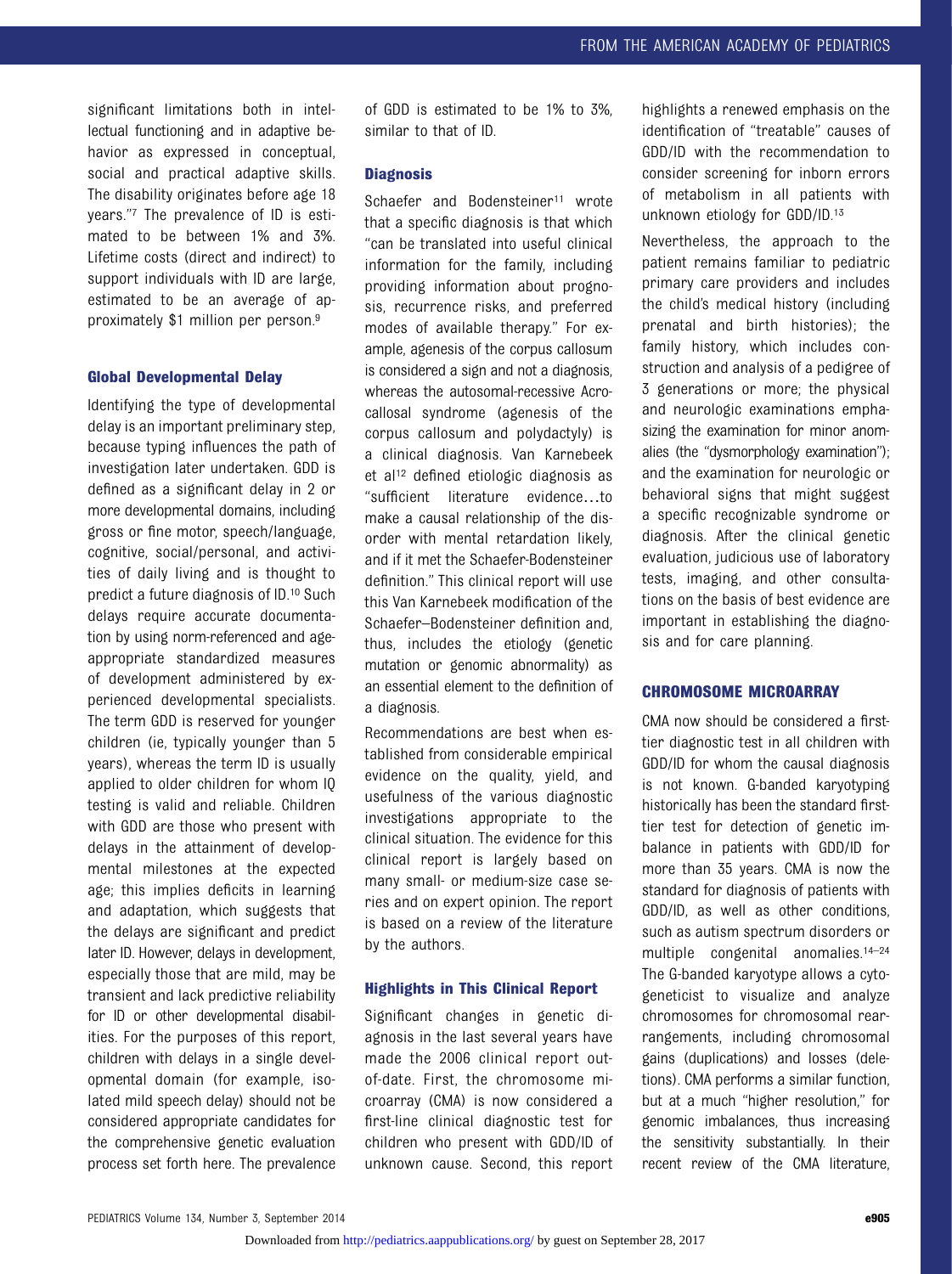significant limitations both in intellectual functioning and in adaptive behavior as expressed in conceptual, social and practical adaptive skills. The disability originates before age 18 years."<sup>7</sup> The prevalence of ID is estimated to be between 1% and 3%. Lifetime costs (direct and indirect) to support individuals with ID are large, estimated to be an average of approximately \$1 million per person.9

### Global Developmental Delay

Identifying the type of developmental delay is an important preliminary step, because typing influences the path of investigation later undertaken. GDD is defined as a significant delay in 2 or more developmental domains, including gross or fine motor, speech/language, cognitive, social/personal, and activities of daily living and is thought to predict a future diagnosis of ID.10 Such delays require accurate documentation by using norm-referenced and ageappropriate standardized measures of development administered by experienced developmental specialists. The term GDD is reserved for younger children (ie, typically younger than 5 years), whereas the term ID is usually applied to older children for whom IQ testing is valid and reliable. Children with GDD are those who present with delays in the attainment of developmental milestones at the expected age; this implies deficits in learning and adaptation, which suggests that the delays are significant and predict later ID. However, delays in development, especially those that are mild, may be transient and lack predictive reliability for ID or other developmental disabilities. For the purposes of this report, children with delays in a single developmental domain (for example, isolated mild speech delay) should not be considered appropriate candidates for the comprehensive genetic evaluation process set forth here. The prevalence of GDD is estimated to be 1% to 3%, similar to that of ID.

#### **Diagnosis** Diagnosis

Schaefer and Bodensteiner<sup>11</sup> wrote that a specific diagnosis is that which "can be translated into useful clinical information for the family, including providing information about prognosis, recurrence risks, and preferred modes of available therapy." For example, agenesis of the corpus callosum is considered a sign and not a diagnosis, whereas the autosomal-recessive Acrocallosal syndrome (agenesis of the corpus callosum and polydactyly) is a clinical diagnosis. Van Karnebeek et al<sup>12</sup> defined etiologic diagnosis as "sufficient literature evidence…to make a causal relationship of the disorder with mental retardation likely, and if it met the Schaefer-Bodensteiner definition." This clinical report will use this Van Karnebeek modification of the Schaefer–Bodensteiner definition and, thus, includes the etiology (genetic mutation or genomic abnormality) as an essential element to the definition of a diagnosis.

Recommendations are best when established from considerable empirical evidence on the quality, yield, and usefulness of the various diagnostic investigations appropriate to the clinical situation. The evidence for this clinical report is largely based on many small- or medium-size case series and on expert opinion. The report is based on a review of the literature by the authors.

Highlights in This Clinical Report Significant changes in genetic diagnosis in the last several years have made the 2006 clinical report outof-date. First, the chromosome microarray (CMA) is now considered a first-line clinical diagnostic test for children who present with GDD/ID of unknown cause. Second, this report

highlights a renewed emphasis on the identification of "treatable" causes of GDD/ID with the recommendation to consider screening for inborn errors of metabolism in all patients with unknown etiology for GDD/ID.13

Nevertheless, the approach to the patient remains familiar to pediatric primary care providers and includes the child's medical history (including prenatal and birth histories); the family history, which includes construction and analysis of a pedigree of 3 generations or more; the physical and neurologic examinations emphasizing the examination for minor anomalies (the "dysmorphology examination"); and the examination for neurologic or behavioral signs that might suggest a specific recognizable syndrome or diagnosis. After the clinical genetic evaluation, judicious use of laboratory tests, imaging, and other consultations on the basis of best evidence are important in establishing the diagnosis and for care planning.

## CHROMOSOME MICROARRAY

CMA now should be considered a firsttier diagnostic test in all children with GDD/ID for whom the causal diagnosis is not known. G-banded karyotyping historically has been the standard firsttier test for detection of genetic imbalance in patients with GDD/ID for more than 35 years. CMA is now the standard for diagnosis of patients with GDD/ID, as well as other conditions, such as autism spectrum disorders or multiple congenital anomalies.14–<sup>24</sup> The G-banded karyotype allows a cytogeneticist to visualize and analyze chromosomes for chromosomal rearrangements, including chromosomal gains (duplications) and losses (deletions). CMA performs a similar function, but at a much "higher resolution," for genomic imbalances, thus increasing the sensitivity substantially. In their recent review of the CMA literature,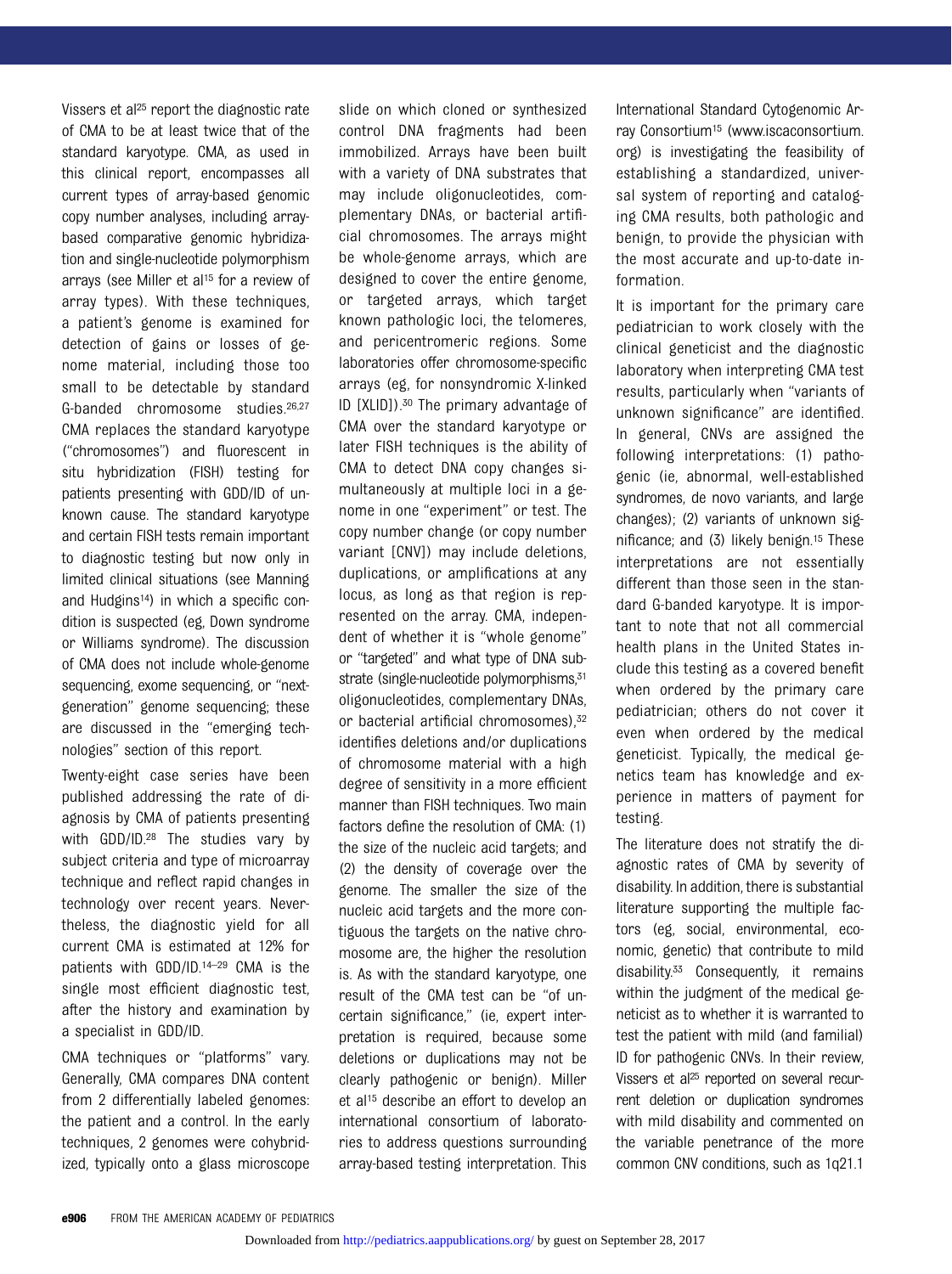Vissers et al25 report the diagnostic rate of CMA to be at least twice that of the standard karyotype. CMA, as used in this clinical report, encompasses all current types of array-based genomic copy number analyses, including arraybased comparative genomic hybridization and single-nucleotide polymorphism arrays (see Miller et al<sup>15</sup> for a review of array types). With these techniques, a patient's genome is examined for detection of gains or losses of genome material, including those too small to be detectable by standard G-banded chromosome studies.26,27 CMA replaces the standard karyotype ("chromosomes") and fluorescent in situ hybridization (FISH) testing for patients presenting with GDD/ID of unknown cause. The standard karyotype and certain FISH tests remain important to diagnostic testing but now only in limited clinical situations (see Manning and Hudgins<sup>14</sup>) in which a specific condition is suspected (eg, Down syndrome or Williams syndrome). The discussion of CMA does not include whole-genome sequencing, exome sequencing, or "nextgeneration" genome sequencing; these are discussed in the "emerging technologies" section of this report.

Twenty-eight case series have been published addressing the rate of diagnosis by CMA of patients presenting with GDD/ID.28 The studies vary by subject criteria and type of microarray technique and reflect rapid changes in technology over recent years. Nevertheless, the diagnostic yield for all current CMA is estimated at 12% for patients with GDD/ID.14–<sup>29</sup> CMA is the single most efficient diagnostic test, after the history and examination by a specialist in GDD/ID.

CMA techniques or "platforms" vary. Generally, CMA compares DNA content from 2 differentially labeled genomes: the patient and a control. In the early techniques, 2 genomes were cohybridized, typically onto a glass microscope slide on which cloned or synthesized control DNA fragments had been immobilized. Arrays have been built with a variety of DNA substrates that may include oligonucleotides, complementary DNAs, or bacterial artificial chromosomes. The arrays might be whole-genome arrays, which are designed to cover the entire genome, or targeted arrays, which target known pathologic loci, the telomeres, and pericentromeric regions. Some laboratories offer chromosome-specific arrays (eg, for nonsyndromic X-linked ID [XLID]).30 The primary advantage of CMA over the standard karyotype or later FISH techniques is the ability of CMA to detect DNA copy changes simultaneously at multiple loci in a genome in one "experiment" or test. The copy number change (or copy number variant [CNV]) may include deletions, duplications, or amplifications at any locus, as long as that region is represented on the array. CMA, independent of whether it is "whole genome" or "targeted" and what type of DNA substrate (single-nucleotide polymorphisms,<sup>31</sup> oligonucleotides, complementary DNAs, or bacterial artificial chromosomes), 32 identifies deletions and/or duplications of chromosome material with a high degree of sensitivity in a more efficient manner than FISH techniques. Two main factors define the resolution of CMA: (1) the size of the nucleic acid targets; and (2) the density of coverage over the genome. The smaller the size of the nucleic acid targets and the more contiguous the targets on the native chromosome are, the higher the resolution is. As with the standard karyotype, one result of the CMA test can be "of uncertain significance," (ie, expert interpretation is required, because some deletions or duplications may not be clearly pathogenic or benign). Miller et al15 describe an effort to develop an international consortium of laboratories to address questions surrounding array-based testing interpretation. This

International Standard Cytogenomic Array Consortium15 ([www.iscaconsortium.](www.iscaconsortium.org) [org\)](www.iscaconsortium.org) is investigating the feasibility of establishing a standardized, universal system of reporting and cataloging CMA results, both pathologic and benign, to provide the physician with the most accurate and up-to-date information.

It is important for the primary care pediatrician to work closely with the clinical geneticist and the diagnostic laboratory when interpreting CMA test results, particularly when "variants of unknown significance" are identified. In general, CNVs are assigned the following interpretations: (1) pathogenic (ie, abnormal, well-established syndromes, de novo variants, and large changes); (2) variants of unknown significance; and (3) likely benign.15 These interpretations are not essentially different than those seen in the standard G-banded karyotype. It is important to note that not all commercial health plans in the United States include this testing as a covered benefit when ordered by the primary care pediatrician; others do not cover it even when ordered by the medical geneticist. Typically, the medical genetics team has knowledge and experience in matters of payment for testing.

The literature does not stratify the diagnostic rates of CMA by severity of disability. In addition, there is substantial literature supporting the multiple factors (eg, social, environmental, economic, genetic) that contribute to mild disability.<sup>33</sup> Consequently, it remains within the judgment of the medical geneticist as to whether it is warranted to test the patient with mild (and familial) ID for pathogenic CNVs. In their review, Vissers et al<sup>25</sup> reported on several recurrent deletion or duplication syndromes with mild disability and commented on the variable penetrance of the more common CNV conditions, such as 1q21.1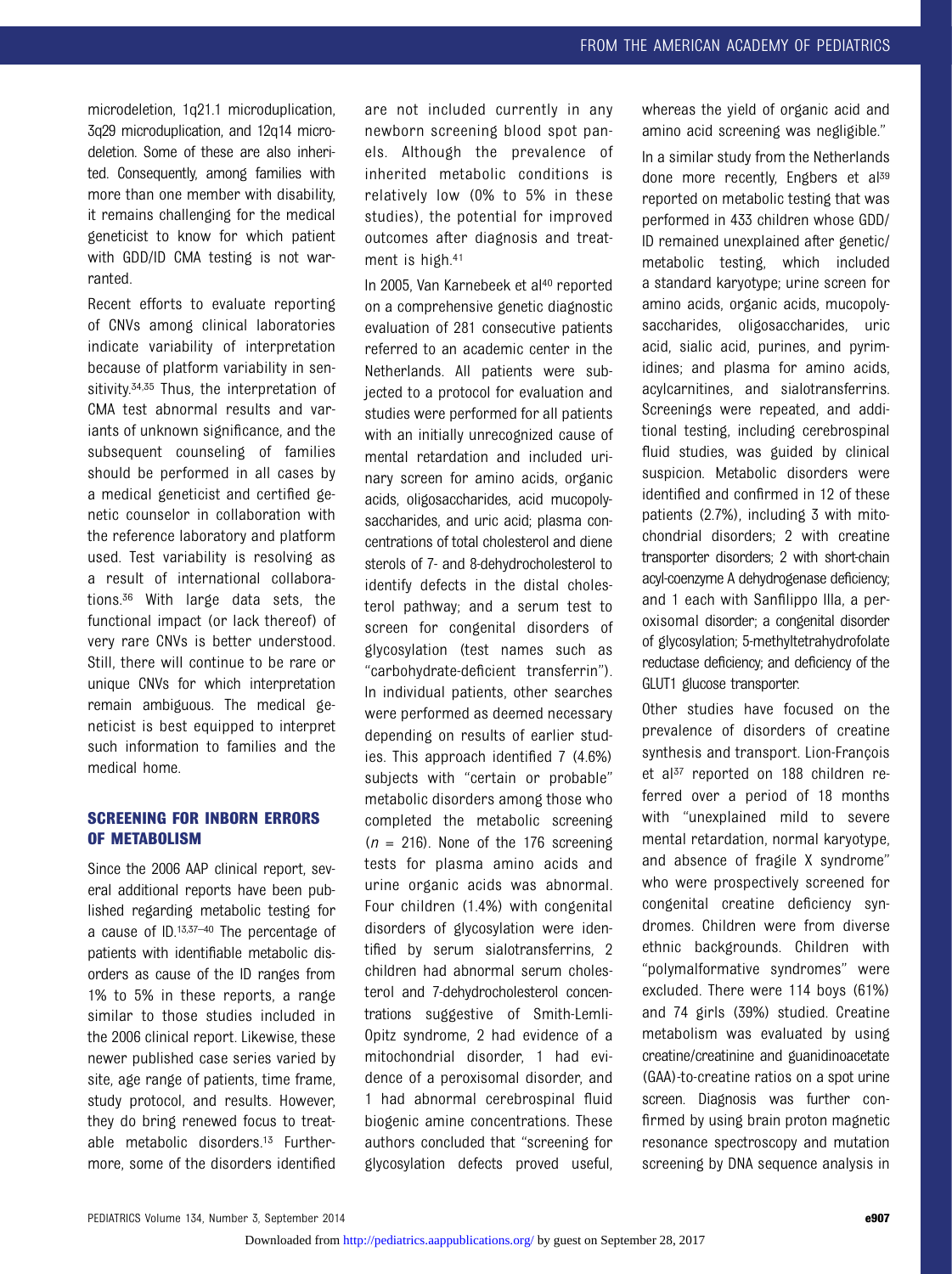microdeletion, 1q21.1 microduplication, 3q29 microduplication, and 12q14 microdeletion. Some of these are also inherited. Consequently, among families with more than one member with disability, it remains challenging for the medical geneticist to know for which patient with GDD/ID CMA testing is not warranted.

Recent efforts to evaluate reporting of CNVs among clinical laboratories indicate variability of interpretation because of platform variability in sensitivity.<sup>34,35</sup> Thus, the interpretation of CMA test abnormal results and variants of unknown significance, and the subsequent counseling of families should be performed in all cases by a medical geneticist and certified genetic counselor in collaboration with the reference laboratory and platform used. Test variability is resolving as a result of international collaborations.36 With large data sets, the functional impact (or lack thereof) of very rare CNVs is better understood. Still, there will continue to be rare or unique CNVs for which interpretation remain ambiguous. The medical geneticist is best equipped to interpret such information to families and the medical home.

### **SCREENING FOR INBORN ERRORS** OF METABOLISM

OF METABOLISM Since the 2006 AAP clinical report, several additional reports have been published regarding metabolic testing for a cause of ID.13,37–<sup>40</sup> The percentage of patients with identifiable metabolic disorders as cause of the ID ranges from 1% to 5% in these reports, a range similar to those studies included in the 2006 clinical report. Likewise, these newer published case series varied by site, age range of patients, time frame, study protocol, and results. However, they do bring renewed focus to treatable metabolic disorders.13 Furthermore, some of the disorders identified are not included currently in any newborn screening blood spot panels. Although the prevalence of inherited metabolic conditions is relatively low (0% to 5% in these studies), the potential for improved outcomes after diagnosis and treatment is high.41

In 2005, Van Karnebeek et al<sup>40</sup> reported on a comprehensive genetic diagnostic evaluation of 281 consecutive patients referred to an academic center in the Netherlands. All patients were subjected to a protocol for evaluation and studies were performed for all patients with an initially unrecognized cause of mental retardation and included urinary screen for amino acids, organic acids, oligosaccharides, acid mucopolysaccharides, and uric acid; plasma concentrations of total cholesterol and diene sterols of 7- and 8-dehydrocholesterol to identify defects in the distal cholesterol pathway; and a serum test to screen for congenital disorders of glycosylation (test names such as "carbohydrate-deficient transferrin"). In individual patients, other searches were performed as deemed necessary depending on results of earlier studies. This approach identified 7 (4.6%) subjects with "certain or probable" metabolic disorders among those who completed the metabolic screening  $(n = 216)$ . None of the 176 screening tests for plasma amino acids and urine organic acids was abnormal. Four children (1.4%) with congenital disorders of glycosylation were identified by serum sialotransferrins, 2 children had abnormal serum cholesterol and 7-dehydrocholesterol concentrations suggestive of Smith-Lemli-Opitz syndrome, 2 had evidence of a mitochondrial disorder, 1 had evidence of a peroxisomal disorder, and 1 had abnormal cerebrospinal fluid biogenic amine concentrations. These authors concluded that "screening for glycosylation defects proved useful, whereas the yield of organic acid and amino acid screening was negligible."

In a similar study from the Netherlands done more recently, Engbers et al<sup>39</sup> reported on metabolic testing that was performed in 433 children whose GDD/ ID remained unexplained after genetic/ metabolic testing, which included a standard karyotype; urine screen for amino acids, organic acids, mucopolysaccharides, oligosaccharides, uric acid, sialic acid, purines, and pyrimidines; and plasma for amino acids, acylcarnitines, and sialotransferrins. Screenings were repeated, and additional testing, including cerebrospinal fluid studies, was guided by clinical suspicion. Metabolic disorders were identified and confirmed in 12 of these patients (2.7%), including 3 with mitochondrial disorders; 2 with creatine transporter disorders; 2 with short-chain acyl-coenzyme A dehydrogenase deficiency; and 1 each with Sanfilippo IIIa, a peroxisomal disorder; a congenital disorder of glycosylation; 5-methyltetrahydrofolate reductase deficiency; and deficiency of the GLUT1 glucose transporter.

Other studies have focused on the prevalence of disorders of creatine synthesis and transport. Lion-François et al<sup>37</sup> reported on 188 children referred over a period of 18 months with "unexplained mild to severe mental retardation, normal karyotype, and absence of fragile X syndrome" who were prospectively screened for congenital creatine deficiency syndromes. Children were from diverse ethnic backgrounds. Children with "polymalformative syndromes" were excluded. There were 114 boys (61%) and 74 girls (39%) studied. Creatine metabolism was evaluated by using creatine/creatinine and guanidinoacetate (GAA)-to-creatine ratios on a spot urine screen. Diagnosis was further confirmed by using brain proton magnetic resonance spectroscopy and mutation screening by DNA sequence analysis in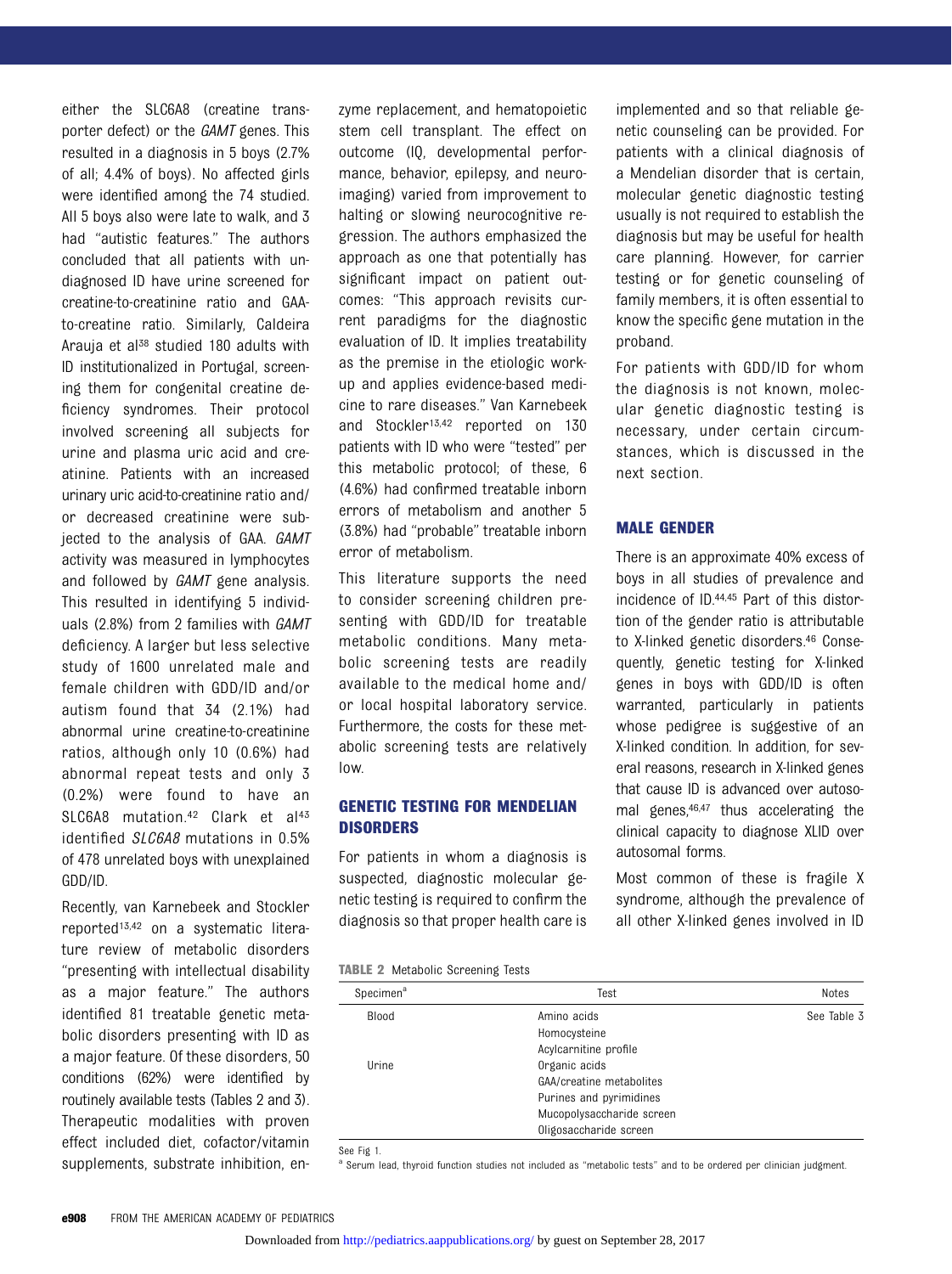either the SLC6A8 (creatine transporter defect) or the GAMT genes. This resulted in a diagnosis in 5 boys (2.7% of all; 4.4% of boys). No affected girls were identified among the 74 studied. All 5 boys also were late to walk, and 3 had "autistic features." The authors concluded that all patients with undiagnosed ID have urine screened for creatine-to-creatinine ratio and GAAto-creatine ratio. Similarly, Caldeira Arauja et al<sup>38</sup> studied 180 adults with ID institutionalized in Portugal, screening them for congenital creatine deficiency syndromes. Their protocol involved screening all subjects for urine and plasma uric acid and creatinine. Patients with an increased urinary uric acid-to-creatinine ratio and/ or decreased creatinine were subjected to the analysis of GAA. GAMT activity was measured in lymphocytes and followed by GAMT gene analysis. This resulted in identifying 5 individuals (2.8%) from 2 families with GAMT deficiency. A larger but less selective study of 1600 unrelated male and female children with GDD/ID and/or autism found that 34 (2.1%) had abnormal urine creatine-to-creatinine ratios, although only 10 (0.6%) had abnormal repeat tests and only 3 (0.2%) were found to have an SLC6A8 mutation.<sup>42</sup> Clark et al<sup>43</sup> identified SLC6A8 mutations in 0.5% of 478 unrelated boys with unexplained GDD/ID.

Recently, van Karnebeek and Stockler reported13,42 on a systematic literature review of metabolic disorders "presenting with intellectual disability as a major feature." The authors identified 81 treatable genetic metabolic disorders presenting with ID as a major feature. Of these disorders, 50 conditions (62%) were identified by routinely available tests (Tables 2 and 3). Therapeutic modalities with proven effect included diet, cofactor/vitamin supplements, substrate inhibition, enzyme replacement, and hematopoietic stem cell transplant. The effect on outcome (IQ, developmental performance, behavior, epilepsy, and neuroimaging) varied from improvement to halting or slowing neurocognitive regression. The authors emphasized the approach as one that potentially has significant impact on patient outcomes: "This approach revisits current paradigms for the diagnostic evaluation of ID. It implies treatability as the premise in the etiologic workup and applies evidence-based medicine to rare diseases." Van Karnebeek and Stockler<sup>13,42</sup> reported on 130 patients with ID who were "tested" per this metabolic protocol; of these, 6 (4.6%) had confirmed treatable inborn errors of metabolism and another 5 (3.8%) had "probable" treatable inborn error of metabolism.

This literature supports the need to consider screening children presenting with GDD/ID for treatable metabolic conditions. Many metabolic screening tests are readily available to the medical home and/ or local hospital laboratory service. Furthermore, the costs for these metabolic screening tests are relatively low.

### GENETIC TESTING FOR MENDELIAN<br>DISORDERS DISORDERS

For patients in whom a diagnosis is suspected, diagnostic molecular genetic testing is required to confirm the diagnosis so that proper health care is implemented and so that reliable genetic counseling can be provided. For patients with a clinical diagnosis of a Mendelian disorder that is certain, molecular genetic diagnostic testing usually is not required to establish the diagnosis but may be useful for health care planning. However, for carrier testing or for genetic counseling of family members, it is often essential to know the specific gene mutation in the proband.

For patients with GDD/ID for whom the diagnosis is not known, molecular genetic diagnostic testing is necessary, under certain circumstances, which is discussed in the next section.

### **MALE GENDER**

There is an approximate 40% excess of boys in all studies of prevalence and incidence of ID.44,45 Part of this distortion of the gender ratio is attributable to X-linked genetic disorders.46 Consequently, genetic testing for X-linked genes in boys with GDD/ID is often warranted, particularly in patients whose pedigree is suggestive of an X-linked condition. In addition, for several reasons, research in X-linked genes that cause ID is advanced over autosomal genes,46,47 thus accelerating the clinical capacity to diagnose XLID over autosomal forms.

Most common of these is fragile X syndrome, although the prevalence of all other X-linked genes involved in ID

### TABLE 2 Metabolic Screening Tests

| Specimen <sup>a</sup> | Test                      | Notes       |
|-----------------------|---------------------------|-------------|
| Blood                 | Amino acids               | See Table 3 |
|                       | Homocysteine              |             |
|                       | Acylcarnitine profile     |             |
| Urine                 | Organic acids             |             |
|                       | GAA/creatine metabolites  |             |
|                       | Purines and pyrimidines   |             |
|                       | Mucopolysaccharide screen |             |
|                       | Oligosaccharide screen    |             |

See Fig 1.

<sup>a</sup> Serum lead, thyroid function studies not included as "metabolic tests" and to be ordered per clinician judgment.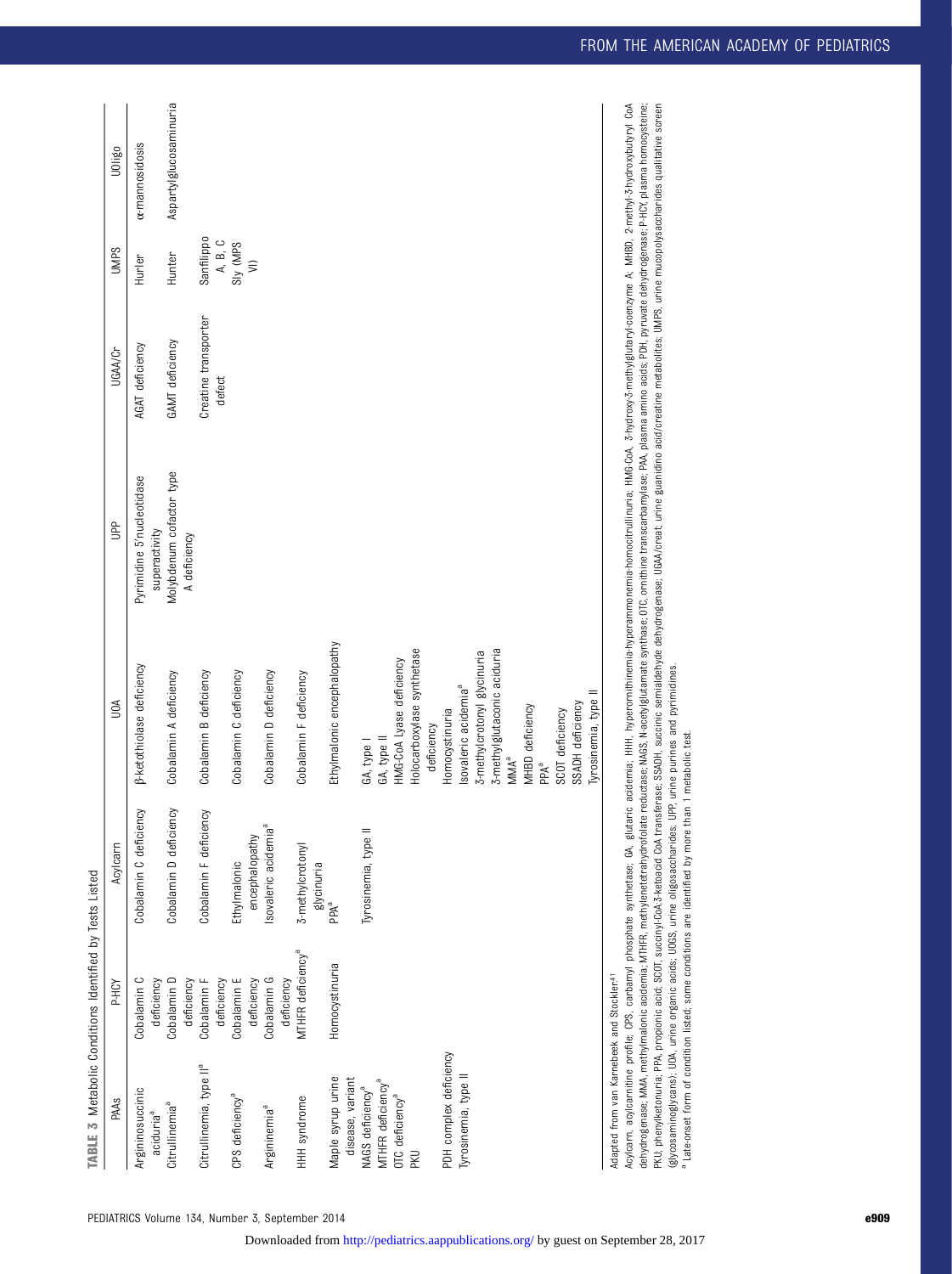| TABLE 3 Metabolic Conditions Identified by Tests Listed |                               |                                  |                                          |                                            |                                |                                |                        |
|---------------------------------------------------------|-------------------------------|----------------------------------|------------------------------------------|--------------------------------------------|--------------------------------|--------------------------------|------------------------|
| PAAs                                                    | P-HCY                         | Acylcarn                         | <b>DOU</b>                               | $\mathbb{R}^{\mathsf{p}}$                  | UGAA/Cr                        | <b>UMPS</b>                    | UOligo                 |
| Argininosuccinic<br>aciduria <sup>a</sup>               | Cobalamin C<br>deficiency     | ency<br>Cobalamin C defici       | <b>B-ketothiolase deficiency</b>         | Pyrimidine 5'nucleotidase<br>superactivity | AGAT deficiency                | Hurler                         | a-mannosidosis         |
| Citrullinemia <sup>ª</sup>                              | Cobalamin D<br>deficiency     | iency<br>Cobalamin D defici      | Cobalamin A deficiency                   | Molybdenum cofactor type<br>A deficiency   | GAMT deficiency                | Hunter                         | Aspartylglucosaminuria |
| Citrullinemia, type ll <sup>a</sup>                     | deficiency<br>Cobalamin F     | Cobalamin F deficiency           | Cobalamin B deficiency                   |                                            | Creatine transporter<br>defect | Sanfilippo<br>A, B, C          |                        |
| CPS deficiency <sup>ª</sup>                             | Cobalamin E<br>deficiency     | encephalopathy<br>Ethylmalonic   | Cobalamin C deficiency                   |                                            |                                | Sly (MPS<br>$\widehat{\equiv}$ |                        |
| Argininemia <sup>a</sup>                                | Cobalamin G<br>deficiency     | Isovaleric acidemia <sup>a</sup> | Cobalamin D deficiency                   |                                            |                                |                                |                        |
| HHH syndrome                                            | MTHFR deficiency <sup>a</sup> | 3-methylcrotonyl<br>glycinuria   | Cobalamin F deficiency                   |                                            |                                |                                |                        |
| Maple syrup urine<br>disease, variant                   | Homocystinuria                | PPA <sup>a</sup>                 | Ethylmalonic encephalopathy              |                                            |                                |                                |                        |
| NAGS deficiency <sup>a</sup>                            |                               | Tyrosinemia, type                | GA, type I                               |                                            |                                |                                |                        |
| MTHFR deficiency <sup>a</sup>                           |                               |                                  | GA, type II                              |                                            |                                |                                |                        |
| OTC deficiency <sup>ª</sup>                             |                               |                                  | HMG-CoA Lyase deficiency                 |                                            |                                |                                |                        |
| <b>DXd</b>                                              |                               |                                  | Holocarboxylase synthetase<br>deficiency |                                            |                                |                                |                        |
| PDH complex deficiency                                  |                               |                                  | Homocystinuria                           |                                            |                                |                                |                        |
| Tyrosinemia, type I                                     |                               |                                  | Isovaleric acidemia <sup>ª</sup>         |                                            |                                |                                |                        |
|                                                         |                               |                                  | 3-methylcrotonyl glycinuria              |                                            |                                |                                |                        |
|                                                         |                               |                                  | 3-methylglutaconic aciduria              |                                            |                                |                                |                        |
|                                                         |                               |                                  | MMA <sup>a</sup>                         |                                            |                                |                                |                        |
|                                                         |                               |                                  | MHBD deficiency                          |                                            |                                |                                |                        |
|                                                         |                               |                                  | PPA <sup>a</sup>                         |                                            |                                |                                |                        |
|                                                         |                               |                                  | SCOT deficiency                          |                                            |                                |                                |                        |
|                                                         |                               |                                  | SSADH deficiency                         |                                            |                                |                                |                        |
|                                                         |                               |                                  | Tyrosinemia, type II                     |                                            |                                |                                |                        |
| Adapted from van Karnebeek and Stockler.41              |                               |                                  |                                          |                                            |                                |                                |                        |

Adapted from van Karnebeek and Stockler.41

Acylcarn, acylcarnitine profile; CPS, carbamyl phosphate synthetase; GA, glutaric acidemia; HHH, hyperornithinemia-hyperammonemia-homocitrullinuria; HMG-CoA, 3-hydroxy-3-methy|glutary-lcoenzyme A; MHBD, 2-methy|3-hydroxybu dehydrogenase; MMA, methylmalonic acidemia; MTHFR, methylenetetrahydrofolate reductase; MASS, N-acetylglutamate synthase; OTC, ornithine transcarbamylase; PAA, plasma amino acids; PDH, pyruvate dehydrogenase; PHCY, plasma PKU, phenylketonuria; PPA, propionic add; SCOT, succinyl-CoA-3-ketoacid CoA transferase; SSADH, succinic semialdehyde dehydrogenase; UGAA/creat; urine guanidino acid/creatine metabolites; UMPS, urine mucopolysaccharides qu Acylcarnitine profile; CPS, carbamyl phosphate synthetase; GA, glutaric acidemia; HHH, hyperomithinemia-hyperammonemia-homocitrullinuria; HMG-CoA, 3-hydroxy-3-methyl30, methyl-3-hydroxybutyryl CoA dehydrogenase; MMA, methylmalonic acidemia; MTHFR, methylenetetrahydrofolate reductase; MAGS, N-acetylglutamate synthase; OTC, ornithine transcarbamylase; PAA, plasma anino acids; PDH, pyruvate dehydrogenase; PHCY, plasma PKLi phenylketonuria; PPA, propionic add; SCOI, succinyl-OcA3-ketoacid CoA transferase; SSADH, succinic semialdehyde dehydrogenase; UGAk/creat urine guanidino adid/creatine metabolites; UMPS, urine mucopolysaccharides ural UOA, urine organic acids; UOGS, urine oligosaccharides; UPP, urine purines and pyrimidines. (glycosaminoglycans); UOA, urine organic acids; UOGS, urine oligosaccharides; UPP, urine purines and pyrimidines. <sup>a</sup> Late-onset form of condition listed; some conditions are identified by more than 1 metabolic test. Late-onset form of condition listed; some conditions are identified by more than 1 metabolic test. (glycosaminoglycans);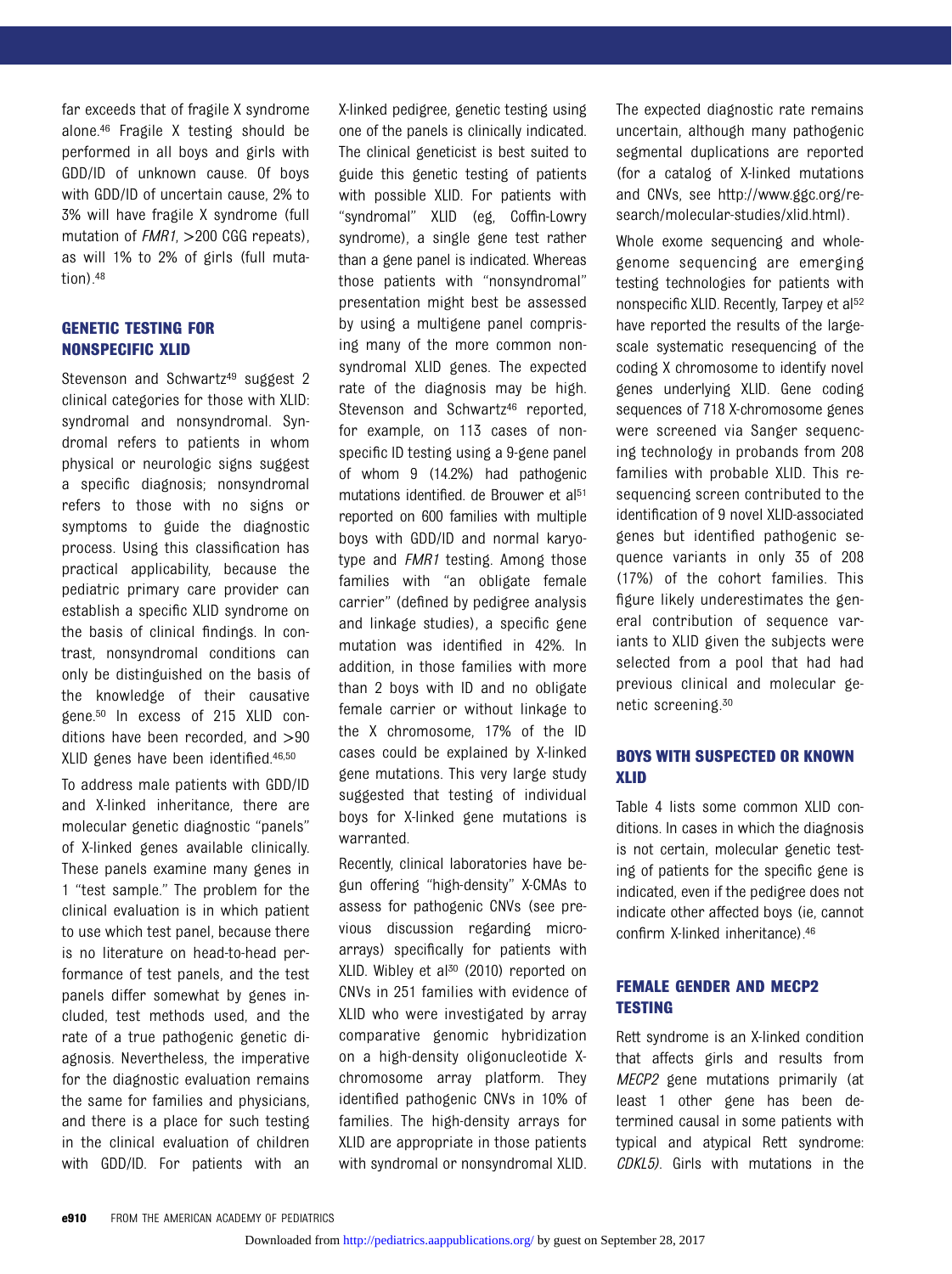far exceeds that of fragile X syndrome alone.46 Fragile X testing should be performed in all boys and girls with GDD/ID of unknown cause. Of boys with GDD/ID of uncertain cause, 2% to 3% will have fragile X syndrome (full mutation of *FMR1*, >200 CGG repeats), as will 1% to 2% of girls (full mutation).48

### **GENETIC TESTING FOR** NONSPECIFIC XLID

Nonse aan is 1995 Stevenson and Schwartz<sup>49</sup> suggest 2 clinical categories for those with XLID: syndromal and nonsyndromal. Syndromal refers to patients in whom physical or neurologic signs suggest a specific diagnosis; nonsyndromal refers to those with no signs or symptoms to guide the diagnostic process. Using this classification has practical applicability, because the pediatric primary care provider can establish a specific XLID syndrome on the basis of clinical findings. In contrast, nonsyndromal conditions can only be distinguished on the basis of the knowledge of their causative gene.50 In excess of 215 XLID conditions have been recorded, and >90 XLID genes have been identified.46,50

To address male patients with GDD/ID and X-linked inheritance, there are molecular genetic diagnostic "panels" of X-linked genes available clinically. These panels examine many genes in 1 "test sample." The problem for the clinical evaluation is in which patient to use which test panel, because there is no literature on head-to-head performance of test panels, and the test panels differ somewhat by genes included, test methods used, and the rate of a true pathogenic genetic diagnosis. Nevertheless, the imperative for the diagnostic evaluation remains the same for families and physicians, and there is a place for such testing in the clinical evaluation of children with GDD/ID. For patients with an X-linked pedigree, genetic testing using one of the panels is clinically indicated. The clinical geneticist is best suited to guide this genetic testing of patients with possible XLID. For patients with "syndromal" XLID (eg, Coffin-Lowry syndrome), a single gene test rather than a gene panel is indicated. Whereas those patients with "nonsyndromal" presentation might best be assessed by using a multigene panel comprising many of the more common nonsyndromal XLID genes. The expected rate of the diagnosis may be high. Stevenson and Schwartz<sup>46</sup> reported, for example, on 113 cases of nonspecific ID testing using a 9-gene panel of whom 9 (14.2%) had pathogenic mutations identified. de Brouwer et al<sup>51</sup> reported on 600 families with multiple boys with GDD/ID and normal karyotype and *FMR1* testing. Among those families with "an obligate female carrier" (defined by pedigree analysis and linkage studies), a specific gene mutation was identified in 42%. In addition, in those families with more than 2 boys with ID and no obligate female carrier or without linkage to the X chromosome, 17% of the ID cases could be explained by X-linked gene mutations. This very large study suggested that testing of individual boys for X-linked gene mutations is warranted.

Recently, clinical laboratories have begun offering "high-density" X-CMAs to assess for pathogenic CNVs (see previous discussion regarding microarrays) specifically for patients with XLID. Wibley et al<sup>30</sup> (2010) reported on CNVs in 251 families with evidence of XLID who were investigated by array comparative genomic hybridization on a high-density oligonucleotide Xchromosome array platform. They identified pathogenic CNVs in 10% of families. The high-density arrays for XLID are appropriate in those patients with syndromal or nonsyndromal XLID.

The expected diagnostic rate remains uncertain, although many pathogenic segmental duplications are reported (for a catalog of X-linked mutations and CNVs, see [http://www.ggc.org/re](http://www.ggc.org/research/molecular-studies/xlid.html)[search/molecular-studies/xlid.html](http://www.ggc.org/research/molecular-studies/xlid.html)).

Whole exome sequencing and wholegenome sequencing are emerging testing technologies for patients with nonspecific XLID. Recently, Tarpey et al<sup>52</sup> have reported the results of the largescale systematic resequencing of the coding X chromosome to identify novel genes underlying XLID. Gene coding sequences of 718 X-chromosome genes were screened via Sanger sequencing technology in probands from 208 families with probable XLID. This resequencing screen contributed to the identification of 9 novel XLID-associated genes but identified pathogenic sequence variants in only 35 of 208 (17%) of the cohort families. This figure likely underestimates the general contribution of sequence variants to XLID given the subjects were selected from a pool that had had previous clinical and molecular genetic screening.30

### **BOYS WITH SUSPECTED OR KNOWN** BOYS WITH SUSPECTED OR KNOWN

Table 4 lists some common XLID conditions. In cases in which the diagnosis is not certain, molecular genetic testing of patients for the specific gene is indicated, even if the pedigree does not indicate other affected boys (ie, cannot confirm X-linked inheritance).46

### **FEMALE GENDER AND MECP2 TESTING**

Rett syndrome is an X-linked condition that affects girls and results from MECP2 gene mutations primarily (at least 1 other gene has been determined causal in some patients with typical and atypical Rett syndrome: CDKL5). Girls with mutations in the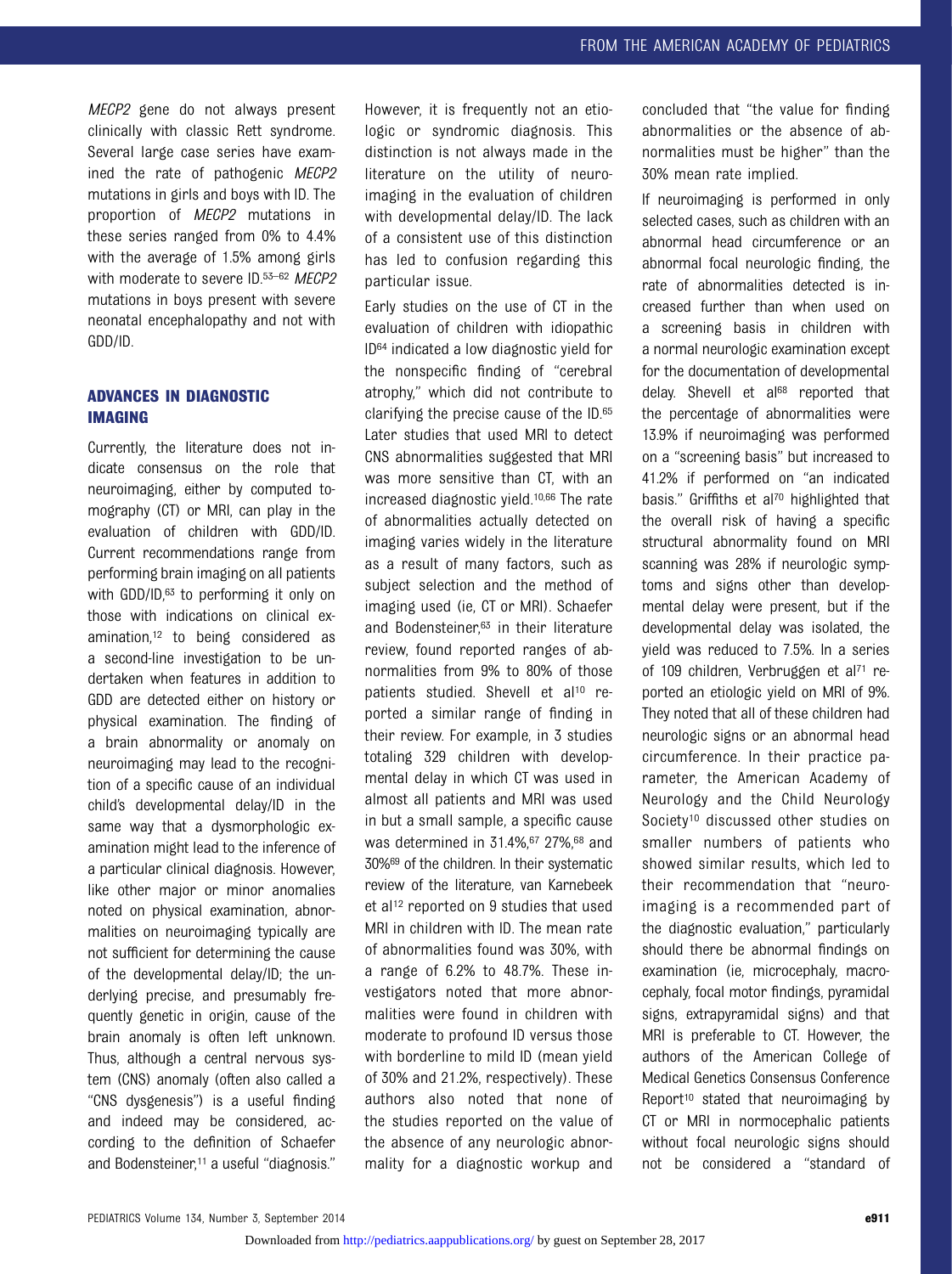MECP2 gene do not always present clinically with classic Rett syndrome. Several large case series have examined the rate of pathogenic MECP2 mutations in girls and boys with ID. The proportion of MECP2 mutations in these series ranged from 0% to 4.4% with the average of 1.5% among girls with moderate to severe ID.53-62 MECP2 mutations in boys present with severe neonatal encephalopathy and not with GDD/ID.

### **ADVANCES IN DIAGNOSTIC IMAGING** IMAGING

Currently, the literature does not indicate consensus on the role that neuroimaging, either by computed tomography (CT) or MRI, can play in the evaluation of children with GDD/ID. Current recommendations range from performing brain imaging on all patients with GDD/ID,<sup>63</sup> to performing it only on those with indications on clinical examination,12 to being considered as a second-line investigation to be undertaken when features in addition to GDD are detected either on history or physical examination. The finding of a brain abnormality or anomaly on neuroimaging may lead to the recognition of a specific cause of an individual child's developmental delay/ID in the same way that a dysmorphologic examination might lead to the inference of a particular clinical diagnosis. However, like other major or minor anomalies noted on physical examination, abnormalities on neuroimaging typically are not sufficient for determining the cause of the developmental delay/ID; the underlying precise, and presumably frequently genetic in origin, cause of the brain anomaly is often left unknown. Thus, although a central nervous system (CNS) anomaly (often also called a "CNS dysgenesis") is a useful finding and indeed may be considered, according to the definition of Schaefer and Bodensteiner,<sup>11</sup> a useful "diagnosis."

However, it is frequently not an etiologic or syndromic diagnosis. This distinction is not always made in the literature on the utility of neuroimaging in the evaluation of children with developmental delay/ID. The lack of a consistent use of this distinction has led to confusion regarding this particular issue.

Early studies on the use of CT in the evaluation of children with idiopathic ID64 indicated a low diagnostic yield for the nonspecific finding of "cerebral atrophy," which did not contribute to clarifying the precise cause of the ID.65 Later studies that used MRI to detect CNS abnormalities suggested that MRI was more sensitive than CT, with an increased diagnostic yield.10,66 The rate of abnormalities actually detected on imaging varies widely in the literature as a result of many factors, such as subject selection and the method of imaging used (ie, CT or MRI). Schaefer and Bodensteiner,<sup>63</sup> in their literature review, found reported ranges of abnormalities from 9% to 80% of those patients studied. Shevell et al<sup>10</sup> reported a similar range of finding in their review. For example, in 3 studies totaling 329 children with developmental delay in which CT was used in almost all patients and MRI was used in but a small sample, a specific cause was determined in 31.4%,<sup>67</sup> 27%,<sup>68</sup> and 30%69 of the children. In their systematic review of the literature, van Karnebeek et al<sup>12</sup> reported on 9 studies that used MRI in children with ID. The mean rate of abnormalities found was 30%, with a range of 6.2% to 48.7%. These investigators noted that more abnormalities were found in children with moderate to profound ID versus those with borderline to mild ID (mean yield of 30% and 21.2%, respectively). These authors also noted that none of the studies reported on the value of the absence of any neurologic abnormality for a diagnostic workup and

concluded that "the value for finding abnormalities or the absence of abnormalities must be higher" than the 30% mean rate implied.

If neuroimaging is performed in only selected cases, such as children with an abnormal head circumference or an abnormal focal neurologic finding, the rate of abnormalities detected is increased further than when used on a screening basis in children with a normal neurologic examination except for the documentation of developmental delay. Shevell et al<sup>68</sup> reported that the percentage of abnormalities were 13.9% if neuroimaging was performed on a "screening basis" but increased to 41.2% if performed on "an indicated basis." Griffiths et al<sup>70</sup> highlighted that the overall risk of having a specific structural abnormality found on MRI scanning was 28% if neurologic symptoms and signs other than developmental delay were present, but if the developmental delay was isolated, the yield was reduced to 7.5%. In a series of 109 children, Verbruggen et al71 reported an etiologic yield on MRI of 9%. They noted that all of these children had neurologic signs or an abnormal head circumference. In their practice parameter, the American Academy of Neurology and the Child Neurology Society<sup>10</sup> discussed other studies on smaller numbers of patients who showed similar results, which led to their recommendation that "neuroimaging is a recommended part of the diagnostic evaluation," particularly should there be abnormal findings on examination (ie, microcephaly, macrocephaly, focal motor findings, pyramidal signs, extrapyramidal signs) and that MRI is preferable to CT. However, the authors of the American College of Medical Genetics Consensus Conference Report<sup>10</sup> stated that neuroimaging by CT or MRI in normocephalic patients without focal neurologic signs should not be considered a "standard of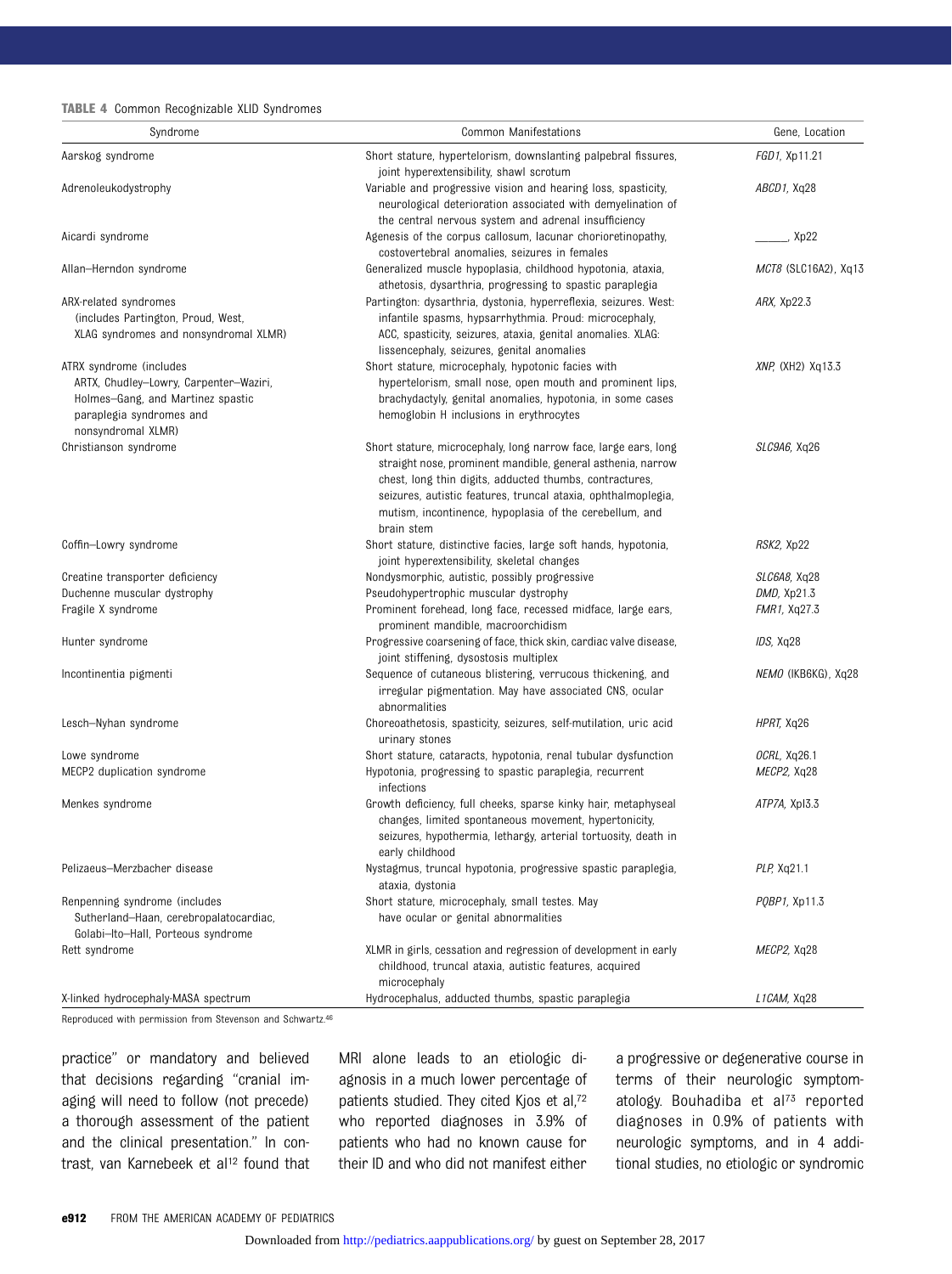#### TABLE 4 Common Recognizable XLID Syndromes

| Syndrome                                            | Common Manifestations                                                                                                   | Gene, Location             |
|-----------------------------------------------------|-------------------------------------------------------------------------------------------------------------------------|----------------------------|
| Aarskog syndrome                                    | Short stature, hypertelorism, downslanting palpebral fissures,                                                          | FGD1, Xp11.21              |
| Adrenoleukodystrophy                                | joint hyperextensibility, shawl scrotum<br>Variable and progressive vision and hearing loss, spasticity,                | ABCD1, Xq28                |
|                                                     | neurological deterioration associated with demyelination of                                                             |                            |
|                                                     | the central nervous system and adrenal insufficiency                                                                    |                            |
| Aicardi syndrome                                    | Agenesis of the corpus callosum, lacunar chorioretinopathy,<br>costovertebral anomalies, seizures in females            | Xp22                       |
| Allan-Herndon syndrome                              | Generalized muscle hypoplasia, childhood hypotonia, ataxia,<br>athetosis, dysarthria, progressing to spastic paraplegia | MCT8 (SLC16A2), Xq13       |
| ARX-related syndromes                               | Partington: dysarthria, dystonia, hyperreflexia, seizures. West:                                                        | ARX, Xp22.3                |
| (includes Partington, Proud, West,                  | infantile spasms, hypsarrhythmia. Proud: microcephaly,                                                                  |                            |
| XLAG syndromes and nonsyndromal XLMR)               | ACC, spasticity, seizures, ataxia, genital anomalies. XLAG:                                                             |                            |
|                                                     | lissencephaly, seizures, genital anomalies                                                                              |                            |
| ATRX syndrome (includes                             | Short stature, microcephaly, hypotonic facies with                                                                      | <i>XNP</i> , (XH2) Xq13.3  |
| ARTX, Chudley-Lowry, Carpenter-Waziri,              | hypertelorism, small nose, open mouth and prominent lips,                                                               |                            |
| Holmes-Gang, and Martinez spastic                   | brachydactyly, genital anomalies, hypotonia, in some cases                                                              |                            |
| paraplegia syndromes and                            | hemoglobin H inclusions in erythrocytes                                                                                 |                            |
| nonsyndromal XLMR)                                  |                                                                                                                         |                            |
| Christianson syndrome                               | Short stature, microcephaly, long narrow face, large ears, long                                                         | <i>SLC9A6</i> , Xq26       |
|                                                     | straight nose, prominent mandible, general asthenia, narrow                                                             |                            |
|                                                     | chest, long thin digits, adducted thumbs, contractures,                                                                 |                            |
|                                                     | seizures, autistic features, truncal ataxia, ophthalmoplegia,                                                           |                            |
|                                                     | mutism, incontinence, hypoplasia of the cerebellum, and<br>brain stem                                                   |                            |
| Coffin-Lowry syndrome                               | Short stature, distinctive facies, large soft hands, hypotonia,                                                         | RSK2, Xp22                 |
|                                                     | joint hyperextensibility, skeletal changes                                                                              |                            |
| Creatine transporter deficiency                     | Nondysmorphic, autistic, possibly progressive                                                                           | <i>SLC6A8</i> , Xq28       |
| Duchenne muscular dystrophy                         | Pseudohypertrophic muscular dystrophy                                                                                   | DMD, Xp21.3                |
| Fragile X syndrome                                  | Prominent forehead, long face, recessed midface, large ears,                                                            | FMR1, Xq27.3               |
|                                                     | prominent mandible, macroorchidism                                                                                      |                            |
| Hunter syndrome                                     | Progressive coarsening of face, thick skin, cardiac valve disease,<br>joint stiffening, dysostosis multiplex            | IDS, Xq28                  |
| Incontinentia pigmenti                              | Sequence of cutaneous blistering, verrucous thickening, and                                                             | <i>NEMO</i> (IKB6KG), Xq28 |
|                                                     | irregular pigmentation. May have associated CNS, ocular                                                                 |                            |
|                                                     | abnormalities                                                                                                           |                            |
| Lesch-Nyhan syndrome                                | Choreoathetosis, spasticity, seizures, self-mutilation, uric acid<br>urinary stones                                     | HPRT, Xq26                 |
| Lowe syndrome                                       | Short stature, cataracts, hypotonia, renal tubular dysfunction                                                          | <i>OCRL</i> , Xq26.1       |
| MECP2 duplication syndrome                          | Hypotonia, progressing to spastic paraplegia, recurrent                                                                 | MECP2, Xq28                |
|                                                     | infections                                                                                                              |                            |
| Menkes syndrome                                     | Growth deficiency, full cheeks, sparse kinky hair, metaphyseal                                                          | ATP7A, Xpl3.3              |
|                                                     | changes, limited spontaneous movement, hypertonicity,                                                                   |                            |
|                                                     | seizures, hypothermia, lethargy, arterial tortuosity, death in                                                          |                            |
|                                                     | early childhood                                                                                                         |                            |
| Pelizaeus-Merzbacher disease                        | Nystagmus, truncal hypotonia, progressive spastic paraplegia,                                                           | PLP, Xq21.1                |
|                                                     | ataxia, dystonia                                                                                                        |                            |
| Renpenning syndrome (includes                       | Short stature, microcephaly, small testes. May                                                                          | PQBP1, Xp11.3              |
| Sutherland-Haan, cerebropalatocardiac,              | have ocular or genital abnormalities                                                                                    |                            |
| Golabi-Ito-Hall, Porteous syndrome<br>Rett syndrome | XLMR in girls, cessation and regression of development in early                                                         | MECP2, Xq28                |
|                                                     | childhood, truncal ataxia, autistic features, acquired                                                                  |                            |
|                                                     | microcephaly                                                                                                            |                            |
| X-linked hydrocephaly-MASA spectrum                 | Hydrocephalus, adducted thumbs, spastic paraplegia                                                                      | L1CAM, Xq28                |

Reproduced with permission from Stevenson and Schwartz.46

practice" or mandatory and believed that decisions regarding "cranial imaging will need to follow (not precede) a thorough assessment of the patient and the clinical presentation." In contrast, van Karnebeek et al<sup>12</sup> found that

MRI alone leads to an etiologic diagnosis in a much lower percentage of patients studied. They cited Kjos et al,72 who reported diagnoses in 3.9% of patients who had no known cause for their ID and who did not manifest either

a progressive or degenerative course in terms of their neurologic symptomatology. Bouhadiba et al<sup>73</sup> reported diagnoses in 0.9% of patients with neurologic symptoms, and in 4 additional studies, no etiologic or syndromic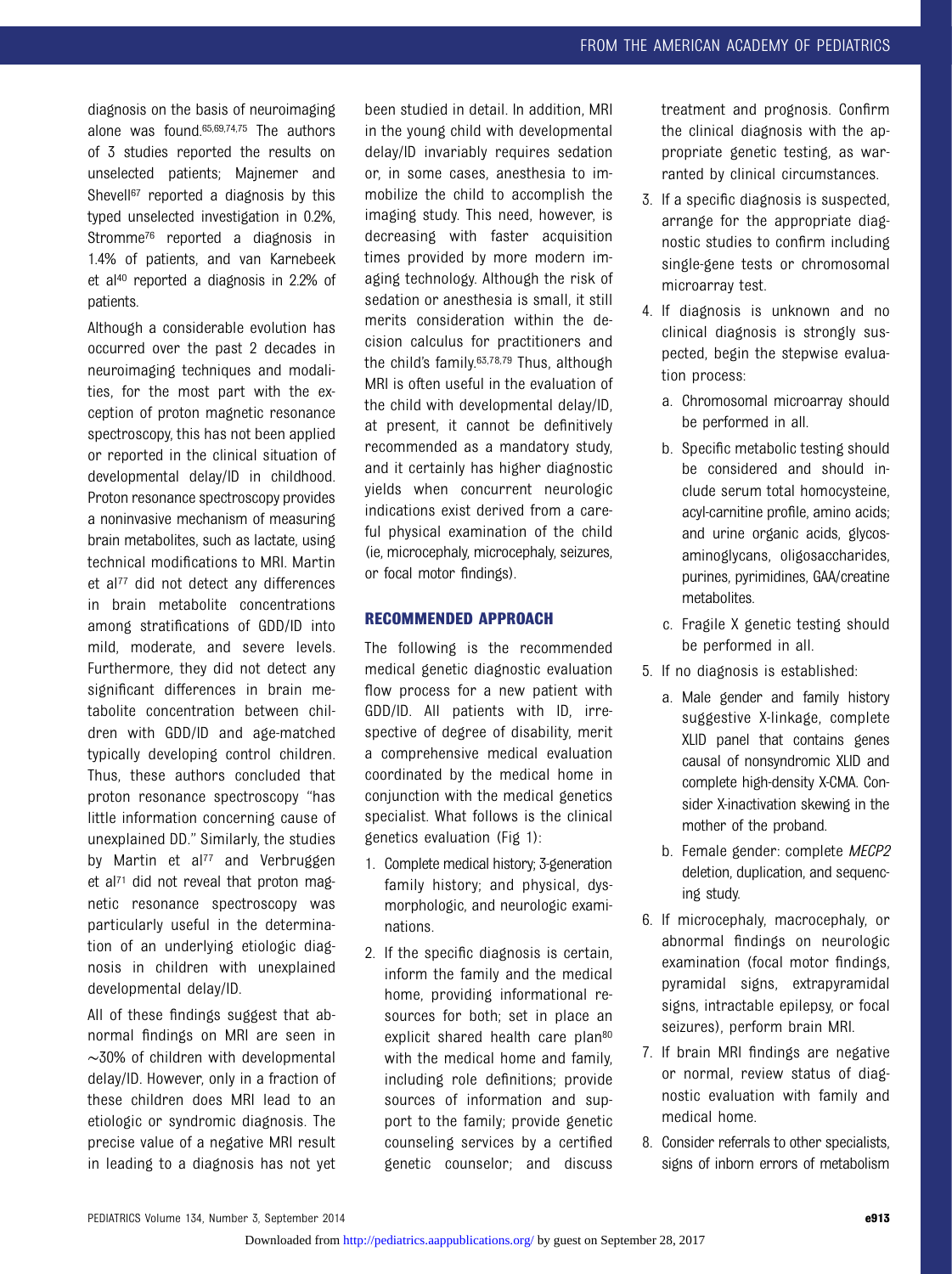diagnosis on the basis of neuroimaging alone was found.65,69,74,75 The authors of 3 studies reported the results on unselected patients; Majnemer and Shevell<sup>67</sup> reported a diagnosis by this typed unselected investigation in 0.2%, Stromme<sup>76</sup> reported a diagnosis in 1.4% of patients, and van Karnebeek et al40 reported a diagnosis in 2.2% of patients.

Although a considerable evolution has occurred over the past 2 decades in neuroimaging techniques and modalities, for the most part with the exception of proton magnetic resonance spectroscopy, this has not been applied or reported in the clinical situation of developmental delay/ID in childhood. Proton resonance spectroscopy provides a noninvasive mechanism of measuring brain metabolites, such as lactate, using technical modifications to MRI. Martin et al<sup>77</sup> did not detect any differences in brain metabolite concentrations among stratifications of GDD/ID into mild, moderate, and severe levels. Furthermore, they did not detect any significant differences in brain metabolite concentration between children with GDD/ID and age-matched typically developing control children. Thus, these authors concluded that proton resonance spectroscopy "has little information concerning cause of unexplained DD." Similarly, the studies by Martin et al<sup>77</sup> and Verbruggen et al<sup>71</sup> did not reveal that proton magnetic resonance spectroscopy was particularly useful in the determination of an underlying etiologic diagnosis in children with unexplained developmental delay/ID.

All of these findings suggest that abnormal findings on MRI are seen in ∼30% of children with developmental delay/ID. However, only in a fraction of these children does MRI lead to an etiologic or syndromic diagnosis. The precise value of a negative MRI result in leading to a diagnosis has not yet

been studied in detail. In addition, MRI in the young child with developmental delay/ID invariably requires sedation or, in some cases, anesthesia to immobilize the child to accomplish the imaging study. This need, however, is decreasing with faster acquisition times provided by more modern imaging technology. Although the risk of sedation or anesthesia is small, it still merits consideration within the decision calculus for practitioners and the child's family.63,78,79 Thus, although MRI is often useful in the evaluation of the child with developmental delay/ID, at present, it cannot be definitively recommended as a mandatory study, and it certainly has higher diagnostic yields when concurrent neurologic indications exist derived from a careful physical examination of the child (ie, microcephaly, microcephaly, seizures, or focal motor findings).

# RECOMMENDED APPROACH

The following is the recommended medical genetic diagnostic evaluation flow process for a new patient with GDD/ID. All patients with ID, irrespective of degree of disability, merit a comprehensive medical evaluation coordinated by the medical home in conjunction with the medical genetics specialist. What follows is the clinical genetics evaluation (Fig 1):

- 1. Complete medical history; 3-generation family history; and physical, dysmorphologic, and neurologic examinations.
- 2. If the specific diagnosis is certain, inform the family and the medical home, providing informational resources for both; set in place an explicit shared health care plan<sup>80</sup> with the medical home and family, including role definitions; provide sources of information and support to the family; provide genetic counseling services by a certified genetic counselor; and discuss

treatment and prognosis. Confirm the clinical diagnosis with the appropriate genetic testing, as warranted by clinical circumstances.

- 3. If a specific diagnosis is suspected, arrange for the appropriate diagnostic studies to confirm including single-gene tests or chromosomal microarray test.
- 4. If diagnosis is unknown and no clinical diagnosis is strongly suspected, begin the stepwise evaluation process:
	- a. Chromosomal microarray should be performed in all.
	- b. Specific metabolic testing should be considered and should include serum total homocysteine, acyl-carnitine profile, amino acids; and urine organic acids, glycosaminoglycans, oligosaccharides, purines, pyrimidines, GAA/creatine metabolites.
	- c. Fragile X genetic testing should be performed in all.
- 5. If no diagnosis is established:
	- a. Male gender and family history suggestive X-linkage, complete XLID panel that contains genes causal of nonsyndromic XLID and complete high-density X-CMA. Consider X-inactivation skewing in the mother of the proband.
	- b. Female gender: complete MECP2 deletion, duplication, and sequencing study.
- 6. If microcephaly, macrocephaly, or abnormal findings on neurologic examination (focal motor findings, pyramidal signs, extrapyramidal signs, intractable epilepsy, or focal seizures), perform brain MRI.
- 7. If brain MRI findings are negative or normal, review status of diagnostic evaluation with family and medical home.
- 8. Consider referrals to other specialists, signs of inborn errors of metabolism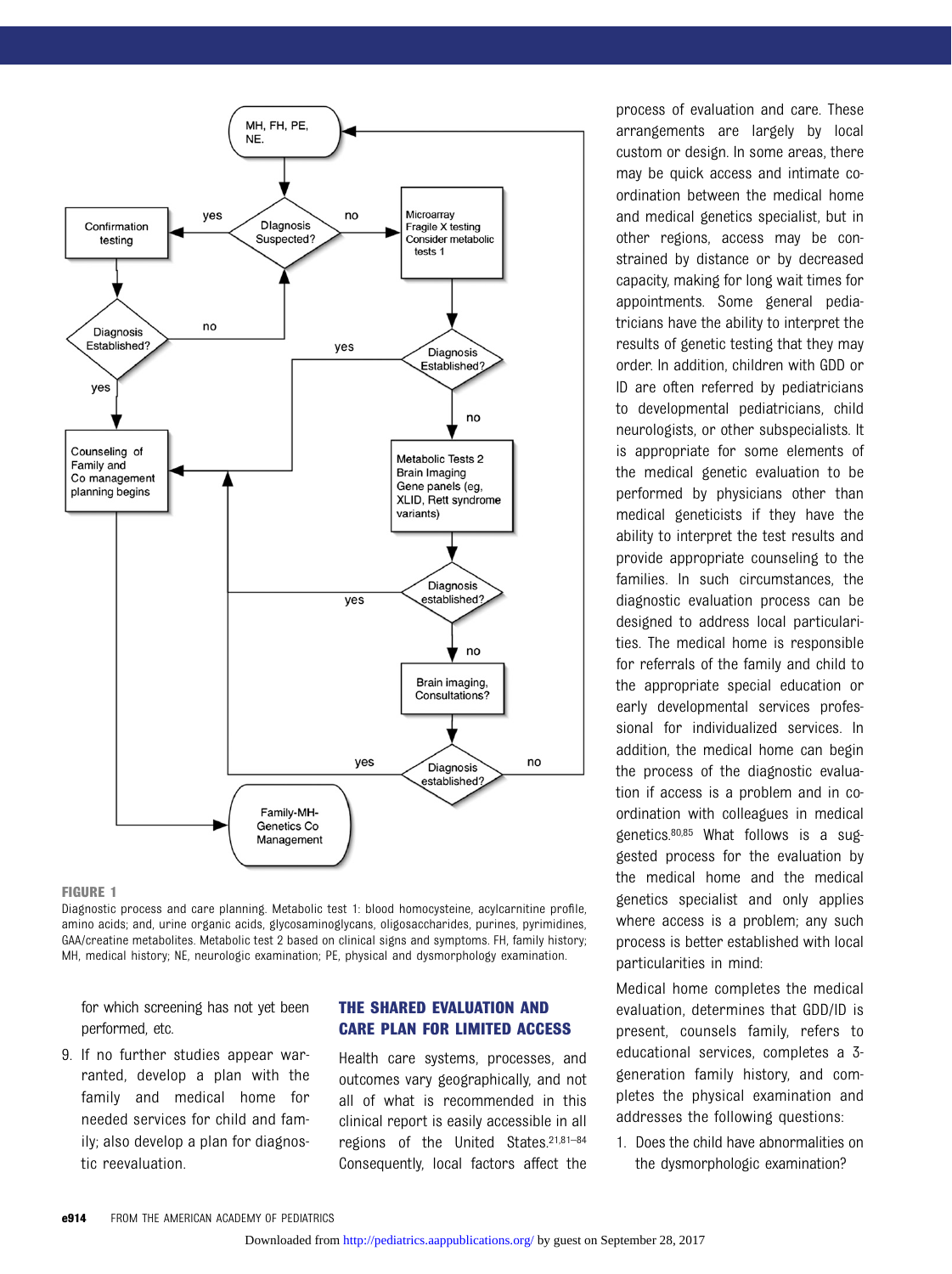

#### **FIGURE 1**

----------<br>Diagnostic process and care planning. Metabolic test 1: blood homocysteine, acylcarnitine profile, amino acids; and, urine organic acids, glycosaminoglycans, oligosaccharides, purines, pyrimidines, GAA/creatine metabolites. Metabolic test 2 based on clinical signs and symptoms. FH, family history; MH, medical history; NE, neurologic examination; PE, physical and dysmorphology examination.

for which screening has not yet been performed, etc.

9. If no further studies appear warranted, develop a plan with the family and medical home for needed services for child and family; also develop a plan for diagnostic reevaluation.

### THE SHARED EVALUATION AND<br>CARE PLAN FOR LIMITED ACCESS CARE PLAN FOR LIMITED ACCESS

Health care systems, processes, and outcomes vary geographically, and not all of what is recommended in this clinical report is easily accessible in all regions of the United States.21,81–<sup>84</sup> Consequently, local factors affect the

process of evaluation and care. These arrangements are largely by local custom or design. In some areas, there may be quick access and intimate coordination between the medical home and medical genetics specialist, but in other regions, access may be constrained by distance or by decreased capacity, making for long wait times for appointments. Some general pediatricians have the ability to interpret the results of genetic testing that they may order. In addition, children with GDD or ID are often referred by pediatricians to developmental pediatricians, child neurologists, or other subspecialists. It is appropriate for some elements of the medical genetic evaluation to be performed by physicians other than medical geneticists if they have the ability to interpret the test results and provide appropriate counseling to the families. In such circumstances, the diagnostic evaluation process can be designed to address local particularities. The medical home is responsible for referrals of the family and child to the appropriate special education or early developmental services professional for individualized services. In addition, the medical home can begin the process of the diagnostic evaluation if access is a problem and in coordination with colleagues in medical genetics.80,85 What follows is a suggested process for the evaluation by the medical home and the medical genetics specialist and only applies where access is a problem; any such process is better established with local particularities in mind:

Medical home completes the medical evaluation, determines that GDD/ID is present, counsels family, refers to educational services, completes a 3 generation family history, and completes the physical examination and addresses the following questions:

1. Does the child have abnormalities on the dysmorphologic examination?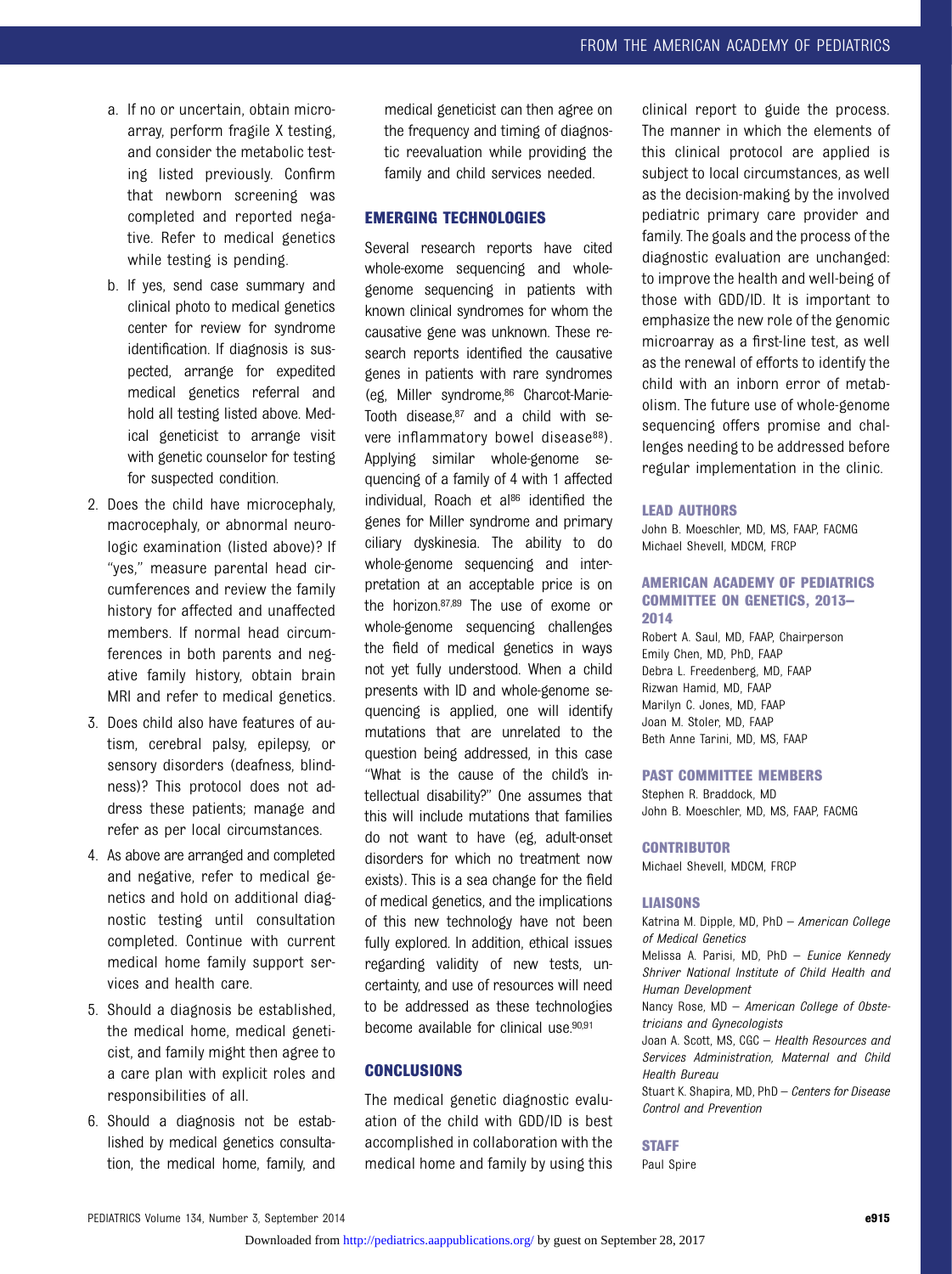- a. If no or uncertain, obtain microarray, perform fragile X testing, and consider the metabolic testing listed previously. Confirm that newborn screening was completed and reported negative. Refer to medical genetics while testing is pending.
- b. If yes, send case summary and clinical photo to medical genetics center for review for syndrome identification. If diagnosis is suspected, arrange for expedited medical genetics referral and hold all testing listed above. Medical geneticist to arrange visit with genetic counselor for testing for suspected condition.
- 2. Does the child have microcephaly, macrocephaly, or abnormal neurologic examination (listed above)? If "yes," measure parental head circumferences and review the family history for affected and unaffected members. If normal head circumferences in both parents and negative family history, obtain brain MRI and refer to medical genetics.
- 3. Does child also have features of autism, cerebral palsy, epilepsy, or sensory disorders (deafness, blindness)? This protocol does not address these patients; manage and refer as per local circumstances.
- 4. As above are arranged and completed and negative, refer to medical genetics and hold on additional diagnostic testing until consultation completed. Continue with current medical home family support services and health care.
- 5. Should a diagnosis be established, the medical home, medical geneticist, and family might then agree to a care plan with explicit roles and responsibilities of all.
- 6. Should a diagnosis not be established by medical genetics consultation, the medical home, family, and

medical geneticist can then agree on the frequency and timing of diagnostic reevaluation while providing the family and child services needed.

## EMERGING TECHNOLOGIES

Several research reports have cited whole-exome sequencing and wholegenome sequencing in patients with known clinical syndromes for whom the causative gene was unknown. These research reports identified the causative genes in patients with rare syndromes (eg, Miller syndrome,86 Charcot-Marie-Tooth disease,<sup>87</sup> and a child with severe inflammatory bowel disease<sup>88</sup>). Applying similar whole-genome sequencing of a family of 4 with 1 affected individual, Roach et al<sup>86</sup> identified the genes for Miller syndrome and primary ciliary dyskinesia. The ability to do whole-genome sequencing and interpretation at an acceptable price is on the horizon.87,89 The use of exome or whole-genome sequencing challenges the field of medical genetics in ways not yet fully understood. When a child presents with ID and whole-genome sequencing is applied, one will identify mutations that are unrelated to the question being addressed, in this case "What is the cause of the child's intellectual disability?" One assumes that this will include mutations that families do not want to have (eg, adult-onset disorders for which no treatment now exists). This is a sea change for the field of medical genetics, and the implications of this new technology have not been fully explored. In addition, ethical issues regarding validity of new tests, uncertainty, and use of resources will need to be addressed as these technologies become available for clinical use.<sup>90,91</sup>

### **CONCLUSIONS** CONCLUSIONS

The medical genetic diagnostic evaluation of the child with GDD/ID is best accomplished in collaboration with the medical home and family by using this

clinical report to guide the process. The manner in which the elements of this clinical protocol are applied is subject to local circumstances, as well as the decision-making by the involved pediatric primary care provider and family. The goals and the process of the diagnostic evaluation are unchanged: to improve the health and well-being of those with GDD/ID. It is important to emphasize the new role of the genomic microarray as a first-line test, as well as the renewal of efforts to identify the child with an inborn error of metabolism. The future use of whole-genome sequencing offers promise and challenges needing to be addressed before regular implementation in the clinic.

#### **LEAD AUTHORS**

John B. Moeschler, MD, MS, FAAP, FACMG Michael Shevell, MDCM, FRCP

### **AMERICAN ACADEMY OF PEDIATRICS** COMMITTEE ON GENETICS, 2013–<br>2014

2014 Robert A. Saul, MD, FAAP, Chairperson Emily Chen, MD, PhD, FAAP Debra L. Freedenberg, MD, FAAP Rizwan Hamid, MD, FAAP Marilyn C. Jones, MD, FAAP Joan M. Stoler, MD, FAAP Beth Anne Tarini, MD, MS, FAAP

PAST COMMITTEE MEMBERS Stephen R. Braddock, MD John B. Moeschler, MD, MS, FAAP, FACMG

**Michael Shevell, MDCM, FRCP** 

#### **TIAISONS**

Katrina M. Dipple, MD, PhD – American College of Medical Genetics

Melissa A. Parisi, MD, PhD – Eunice Kennedy Shriver National Institute of Child Health and Human Development

Nancy Rose, MD – American College of Obstetricians and Gynecologists

Joan A. Scott, MS, CGC – Health Resources and Services Administration, Maternal and Child Health Bureau

Stuart K. Shapira, MD, PhD – Centers for Disease Control and Prevention

### **STAFF**

.<br>Paul Spire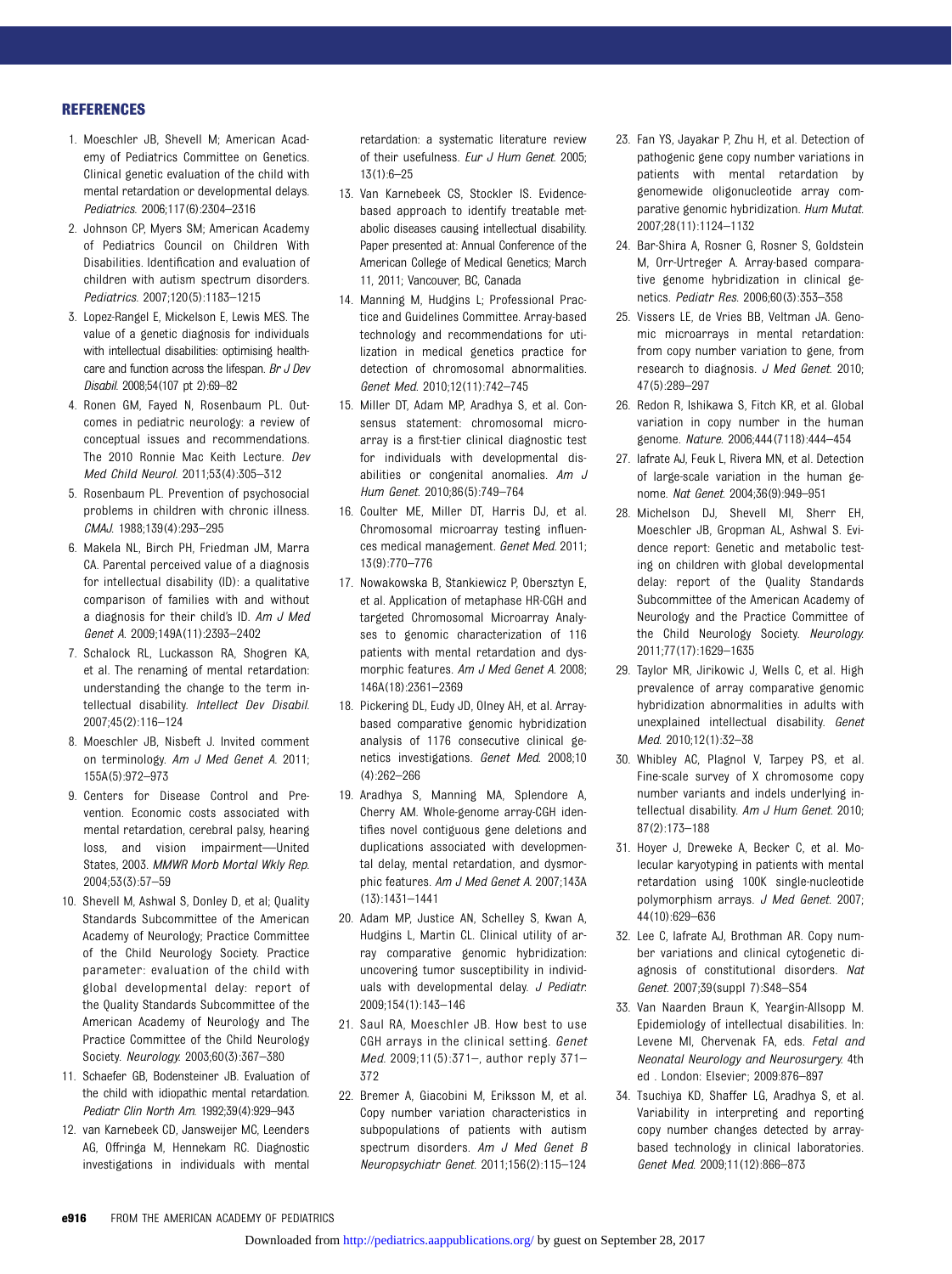### **REFERENCES**

- 1. Moeschler JB, Shevell M; American Academy of Pediatrics Committee on Genetics. Clinical genetic evaluation of the child with mental retardation or developmental delays. Pediatrics. 2006;117(6):2304–2316
- 2. Johnson CP, Myers SM; American Academy of Pediatrics Council on Children With Disabilities. Identification and evaluation of children with autism spectrum disorders. Pediatrics. 2007;120(5):1183–1215
- 3. Lopez-Rangel E, Mickelson E, Lewis MES. The value of a genetic diagnosis for individuals with intellectual disabilities: optimising healthcare and function across the lifespan. Br J Dev Disabil. 2008;54(107 pt 2):69–82
- 4. Ronen GM, Fayed N, Rosenbaum PL. Outcomes in pediatric neurology: a review of conceptual issues and recommendations. The 2010 Ronnie Mac Keith Lecture. Dev Med Child Neurol. 2011;53(4):305–312
- 5. Rosenbaum PL. Prevention of psychosocial problems in children with chronic illness. CMAJ. 1988;139(4):293–295
- 6. Makela NL, Birch PH, Friedman JM, Marra CA. Parental perceived value of a diagnosis for intellectual disability (ID): a qualitative comparison of families with and without a diagnosis for their child's ID. Am J Med Genet A. 2009;149A(11):2393–2402
- 7. Schalock RL, Luckasson RA, Shogren KA, et al. The renaming of mental retardation: understanding the change to the term intellectual disability. Intellect Dev Disabil. 2007;45(2):116–124
- 8. Moeschler JB, Nisbeft J. Invited comment on terminology. Am J Med Genet A. 2011; 155A(5):972–973
- 9. Centers for Disease Control and Prevention. Economic costs associated with mental retardation, cerebral palsy, hearing loss, and vision impairment—United States, 2003. MMWR Morb Mortal Wkly Rep. 2004;53(3):57–59
- 10. Shevell M, Ashwal S, Donley D, et al; Quality Standards Subcommittee of the American Academy of Neurology; Practice Committee of the Child Neurology Society. Practice parameter: evaluation of the child with global developmental delay: report of the Quality Standards Subcommittee of the American Academy of Neurology and The Practice Committee of the Child Neurology Society. Neurology. 2003;60(3):367–380
- 11. Schaefer GB, Bodensteiner JB. Evaluation of the child with idiopathic mental retardation. Pediatr Clin North Am. 1992;39(4):929–943
- 12. van Karnebeek CD, Jansweijer MC, Leenders AG, Offringa M, Hennekam RC. Diagnostic investigations in individuals with mental

retardation: a systematic literature review of their usefulness. Eur J Hum Genet. 2005; 13(1):6–25

- 13. Van Karnebeek CS, Stockler IS. Evidencebased approach to identify treatable metabolic diseases causing intellectual disability. Paper presented at: Annual Conference of the American College of Medical Genetics; March 11, 2011; Vancouver, BC, Canada
- 14. Manning M, Hudgins L; Professional Practice and Guidelines Committee. Array-based technology and recommendations for utilization in medical genetics practice for detection of chromosomal abnormalities. Genet Med. 2010;12(11):742–745
- 15. Miller DT, Adam MP, Aradhya S, et al. Consensus statement: chromosomal microarray is a first-tier clinical diagnostic test for individuals with developmental disabilities or congenital anomalies. Am J Hum Genet. 2010;86(5):749–764
- 16. Coulter ME, Miller DT, Harris DJ, et al. Chromosomal microarray testing influences medical management. Genet Med. 2011; 13(9):770–776
- 17. Nowakowska B, Stankiewicz P, Obersztyn E, et al. Application of metaphase HR-CGH and targeted Chromosomal Microarray Analyses to genomic characterization of 116 patients with mental retardation and dysmorphic features. Am J Med Genet A. 2008; 146A(18):2361–2369
- 18. Pickering DL, Eudy JD, Olney AH, et al. Arraybased comparative genomic hybridization analysis of 1176 consecutive clinical genetics investigations. Genet Med. 2008;10 (4):262–266
- 19. Aradhya S, Manning MA, Splendore A, Cherry AM. Whole-genome array-CGH identifies novel contiguous gene deletions and duplications associated with developmental delay, mental retardation, and dysmorphic features. Am J Med Genet A. 2007;143A (13):1431–1441
- 20. Adam MP, Justice AN, Schelley S, Kwan A, Hudgins L, Martin CL. Clinical utility of array comparative genomic hybridization: uncovering tumor susceptibility in individuals with developmental delay. J Pediatr. 2009;154(1):143–146
- 21. Saul RA, Moeschler JB. How best to use CGH arrays in the clinical setting. Genet Med. 2009;11(5):371–, author reply 371– 372
- 22. Bremer A, Giacobini M, Eriksson M, et al. Copy number variation characteristics in subpopulations of patients with autism spectrum disorders. Am J Med Genet B Neuropsychiatr Genet. 2011;156(2):115–124
- 23. Fan YS, Jayakar P, Zhu H, et al. Detection of pathogenic gene copy number variations in patients with mental retardation by genomewide oligonucleotide array comparative genomic hybridization. Hum Mutat. 2007;28(11):1124–1132
- 24. Bar-Shira A, Rosner G, Rosner S, Goldstein M, Orr-Urtreger A. Array-based comparative genome hybridization in clinical genetics. Pediatr Res. 2006;60(3):353–358
- 25. Vissers LE, de Vries BB, Veltman JA. Genomic microarrays in mental retardation: from copy number variation to gene, from research to diagnosis. J Med Genet. 2010; 47(5):289–297
- 26. Redon R, Ishikawa S, Fitch KR, et al. Global variation in copy number in the human genome. Nature. 2006;444(7118):444–454
- 27. Iafrate AJ, Feuk L, Rivera MN, et al. Detection of large-scale variation in the human genome. Nat Genet. 2004;36(9):949–951
- 28. Michelson DJ, Shevell MI, Sherr EH, Moeschler JB, Gropman AL, Ashwal S. Evidence report: Genetic and metabolic testing on children with global developmental delay: report of the Quality Standards Subcommittee of the American Academy of Neurology and the Practice Committee of the Child Neurology Society. Neurology. 2011;77(17):1629–1635
- 29. Taylor MR, Jirikowic J, Wells C, et al. High prevalence of array comparative genomic hybridization abnormalities in adults with unexplained intellectual disability. Genet Med. 2010;12(1):32–38
- 30. Whibley AC, Plagnol V, Tarpey PS, et al. Fine-scale survey of X chromosome copy number variants and indels underlying intellectual disability. Am J Hum Genet. 2010; 87(2):173–188
- 31. Hoyer J, Dreweke A, Becker C, et al. Molecular karyotyping in patients with mental retardation using 100K single-nucleotide polymorphism arrays. J Med Genet. 2007; 44(10):629–636
- 32. Lee C, Iafrate AJ, Brothman AR. Copy number variations and clinical cytogenetic diagnosis of constitutional disorders. Nat Genet. 2007;39(suppl 7):S48–S54
- 33. Van Naarden Braun K, Yeargin-Allsopp M. Epidemiology of intellectual disabilities. In: Levene MI, Chervenak FA, eds. Fetal and Neonatal Neurology and Neurosurgery. 4th ed . London: Elsevier; 2009:876–897
- 34. Tsuchiya KD, Shaffer LG, Aradhya S, et al. Variability in interpreting and reporting copy number changes detected by arraybased technology in clinical laboratories. Genet Med. 2009;11(12):866–873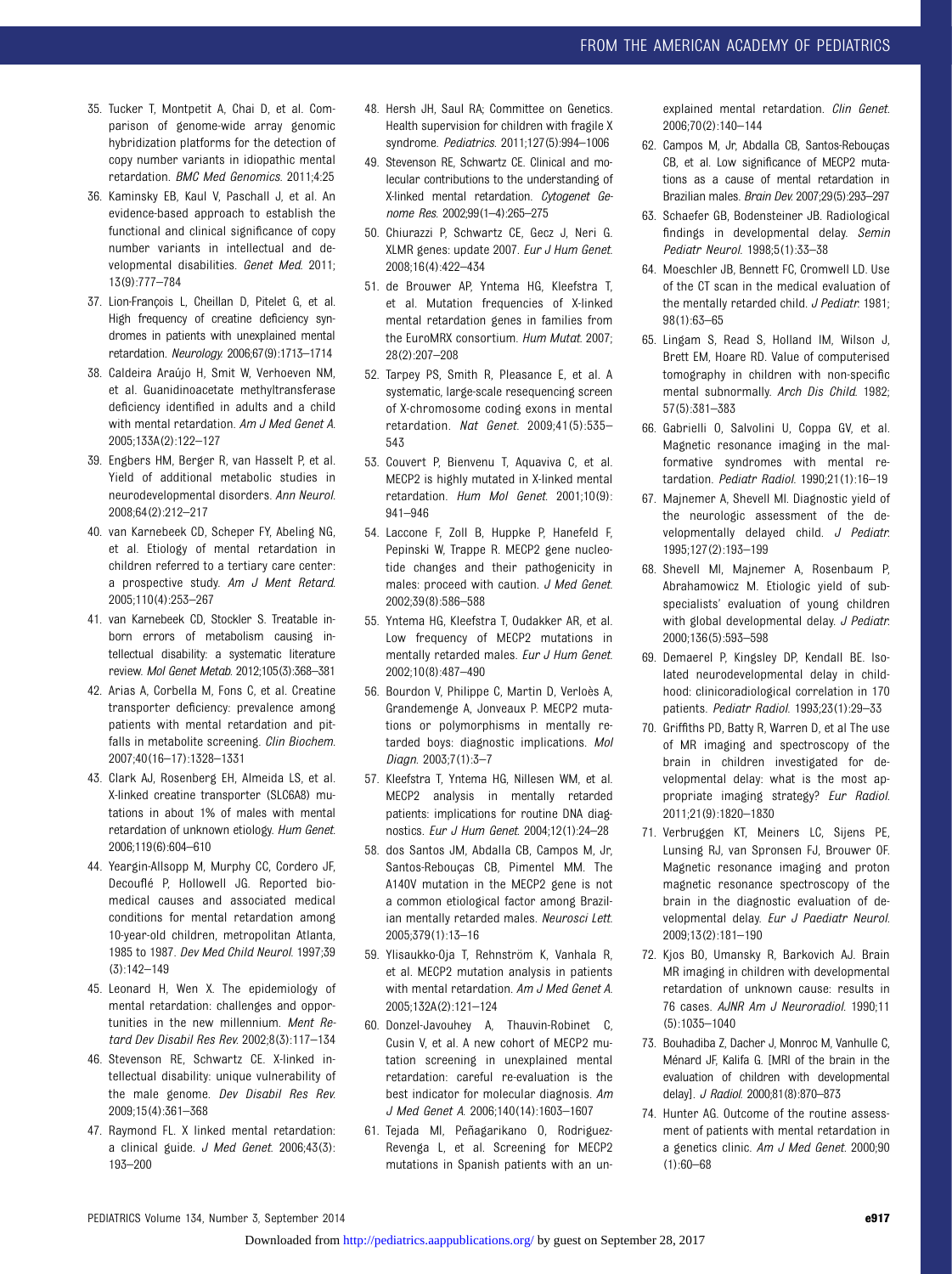- 35. Tucker T, Montpetit A, Chai D, et al. Comparison of genome-wide array genomic hybridization platforms for the detection of copy number variants in idiopathic mental retardation. BMC Med Genomics. 2011;4:25
- 36. Kaminsky EB, Kaul V, Paschall J, et al. An evidence-based approach to establish the functional and clinical significance of copy number variants in intellectual and developmental disabilities. Genet Med. 2011; 13(9):777–784
- 37. Lion-François L, Cheillan D, Pitelet G, et al. High frequency of creatine deficiency syndromes in patients with unexplained mental retardation. Neurology. 2006;67(9):1713–1714
- 38. Caldeira Araújo H, Smit W, Verhoeven NM, et al. Guanidinoacetate methyltransferase deficiency identified in adults and a child with mental retardation. Am J Med Genet A. 2005;133A(2):122–127
- 39. Engbers HM, Berger R, van Hasselt P, et al. Yield of additional metabolic studies in neurodevelopmental disorders. Ann Neurol. 2008;64(2):212–217
- 40. van Karnebeek CD, Scheper FY, Abeling NG, et al. Etiology of mental retardation in children referred to a tertiary care center: a prospective study. Am J Ment Retard. 2005;110(4):253–267
- 41. van Karnebeek CD, Stockler S. Treatable inborn errors of metabolism causing intellectual disability: a systematic literature review. Mol Genet Metab. 2012;105(3):368–381
- 42. Arias A, Corbella M, Fons C, et al. Creatine transporter deficiency: prevalence among patients with mental retardation and pitfalls in metabolite screening. Clin Biochem. 2007;40(16–17):1328–1331
- 43. Clark AJ, Rosenberg EH, Almeida LS, et al. X-linked creatine transporter (SLC6A8) mutations in about 1% of males with mental retardation of unknown etiology. Hum Genet. 2006;119(6):604–610
- 44. Yeargin-Allsopp M, Murphy CC, Cordero JF, Decouflé P, Hollowell JG. Reported biomedical causes and associated medical conditions for mental retardation among 10-year-old children, metropolitan Atlanta, 1985 to 1987. Dev Med Child Neurol. 1997;39 (3):142–149
- 45. Leonard H, Wen X. The epidemiology of mental retardation: challenges and opportunities in the new millennium. Ment Retard Dev Disabil Res Rev. 2002;8(3):117–134
- 46. Stevenson RE, Schwartz CE. X-linked intellectual disability: unique vulnerability of the male genome. Dev Disabil Res Rev. 2009;15(4):361–368
- 47. Raymond FL. X linked mental retardation: a clinical guide. J Med Genet. 2006;43(3): 193–200
- 48. Hersh JH, Saul RA; Committee on Genetics. Health supervision for children with fragile X syndrome. Pediatrics. 2011;127(5):994–1006
- 49. Stevenson RE, Schwartz CE. Clinical and molecular contributions to the understanding of X-linked mental retardation. Cytogenet Genome Res. 2002;99(1–4):265–275
- 50. Chiurazzi P, Schwartz CE, Gecz J, Neri G. XLMR genes: update 2007. Eur J Hum Genet. 2008;16(4):422–434
- 51. de Brouwer AP, Yntema HG, Kleefstra T, et al. Mutation frequencies of X-linked mental retardation genes in families from the EuroMRX consortium. Hum Mutat. 2007; 28(2):207–208
- 52. Tarpey PS, Smith R, Pleasance E, et al. A systematic, large-scale resequencing screen of X-chromosome coding exons in mental retardation. Nat Genet. 2009;41(5):535– 543
- 53. Couvert P, Bienvenu T, Aquaviva C, et al. MECP2 is highly mutated in X-linked mental retardation. Hum Mol Genet. 2001;10(9): 941–946
- 54. Laccone F, Zoll B, Huppke P, Hanefeld F, Pepinski W, Trappe R. MECP2 gene nucleotide changes and their pathogenicity in males: proceed with caution. J Med Genet. 2002;39(8):586–588
- 55. Yntema HG, Kleefstra T, Oudakker AR, et al. Low frequency of MECP2 mutations in mentally retarded males. Eur J Hum Genet. 2002;10(8):487–490
- 56. Bourdon V, Philippe C, Martin D, Verloès A, Grandemenge A, Jonveaux P. MECP2 mutations or polymorphisms in mentally retarded boys: diagnostic implications. Mol Diagn. 2003;7(1):3–7
- 57. Kleefstra T, Yntema HG, Nillesen WM, et al. MECP2 analysis in mentally retarded patients: implications for routine DNA diagnostics. Eur J Hum Genet. 2004;12(1):24–28
- 58. dos Santos JM, Abdalla CB, Campos M, Jr, Santos-Rebouças CB, Pimentel MM. The A140V mutation in the MECP2 gene is not a common etiological factor among Brazilian mentally retarded males. Neurosci Lett. 2005;379(1):13–16
- 59. Ylisaukko-Oja T, Rehnström K, Vanhala R, et al. MECP2 mutation analysis in patients with mental retardation. Am J Med Genet A. 2005;132A(2):121–124
- 60. Donzel-Javouhey A, Thauvin-Robinet C, Cusin V, et al. A new cohort of MECP2 mutation screening in unexplained mental retardation: careful re-evaluation is the best indicator for molecular diagnosis. Am J Med Genet A. 2006;140(14):1603–1607
- 61. Tejada MI, Peñagarikano O, Rodriguez-Revenga L, et al. Screening for MECP2 mutations in Spanish patients with an un-

explained mental retardation. Clin Genet. 2006;70(2):140–144

- 62. Campos M, Jr, Abdalla CB, Santos-Rebouças CB, et al. Low significance of MECP2 mutations as a cause of mental retardation in Brazilian males. Brain Dev. 2007;29(5):293–297
- 63. Schaefer GB, Bodensteiner JB. Radiological findings in developmental delay. Semin Pediatr Neurol. 1998;5(1):33–38
- 64. Moeschler JB, Bennett FC, Cromwell LD. Use of the CT scan in the medical evaluation of the mentally retarded child. J Pediatr. 1981; 98(1):63–65
- 65. Lingam S, Read S, Holland IM, Wilson J, Brett EM, Hoare RD. Value of computerised tomography in children with non-specific mental subnormally. Arch Dis Child. 1982; 57(5):381–383
- 66. Gabrielli O, Salvolini U, Coppa GV, et al. Magnetic resonance imaging in the malformative syndromes with mental retardation. Pediatr Radiol. 1990;21(1):16–19
- 67. Majnemer A, Shevell MI. Diagnostic yield of the neurologic assessment of the developmentally delayed child. J Pediatr. 1995;127(2):193–199
- 68. Shevell MI, Majnemer A, Rosenbaum P, Abrahamowicz M. Etiologic yield of subspecialists' evaluation of young children with global developmental delay. J Pediatr. 2000;136(5):593–598
- 69. Demaerel P, Kingsley DP, Kendall BE. Isolated neurodevelopmental delay in childhood: clinicoradiological correlation in 170 patients. Pediatr Radiol. 1993;23(1):29–33
- 70. Griffiths PD, Batty R, Warren D, et al The use of MR imaging and spectroscopy of the brain in children investigated for developmental delay: what is the most appropriate imaging strategy? Eur Radiol. 2011;21(9):1820–1830
- 71. Verbruggen KT, Meiners LC, Sijens PE, Lunsing RJ, van Spronsen FJ, Brouwer OF. Magnetic resonance imaging and proton magnetic resonance spectroscopy of the brain in the diagnostic evaluation of developmental delay. Eur J Paediatr Neurol. 2009;13(2):181–190
- 72. Kjos BO, Umansky R, Barkovich AJ. Brain MR imaging in children with developmental retardation of unknown cause: results in 76 cases. AJNR Am J Neuroradiol. 1990;11 (5):1035–1040
- 73. Bouhadiba Z, Dacher J, Monroc M, Vanhulle C, Ménard JF, Kalifa G. [MRI of the brain in the evaluation of children with developmental delay]. J Radiol. 2000;81(8):870–873
- 74. Hunter AG. Outcome of the routine assessment of patients with mental retardation in a genetics clinic. Am J Med Genet. 2000;90 (1):60–68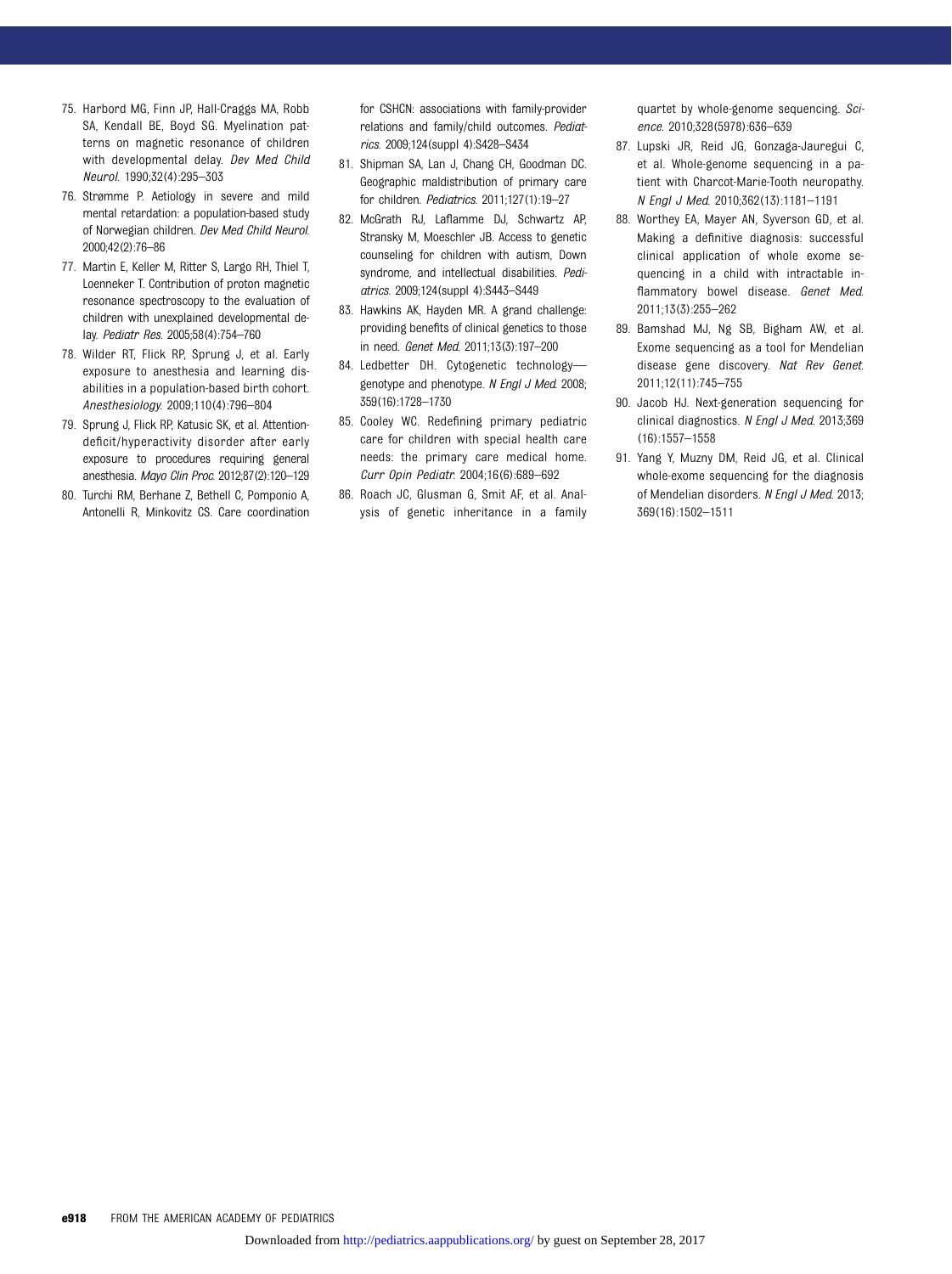- 75. Harbord MG, Finn JP, Hall-Craggs MA, Robb SA, Kendall BE, Boyd SG. Myelination patterns on magnetic resonance of children with developmental delay. Dev Med Child Neurol. 1990;32(4):295–303
- 76. Strømme P. Aetiology in severe and mild mental retardation: a population-based study of Norwegian children. Dev Med Child Neurol. 2000;42(2):76–86
- 77. Martin E, Keller M, Ritter S, Largo RH, Thiel T, Loenneker T. Contribution of proton magnetic resonance spectroscopy to the evaluation of children with unexplained developmental delay. Pediatr Res. 2005;58(4):754–760
- 78. Wilder RT, Flick RP, Sprung J, et al. Early exposure to anesthesia and learning disabilities in a population-based birth cohort. Anesthesiology. 2009;110(4):796–804
- 79. Sprung J, Flick RP, Katusic SK, et al. Attentiondeficit/hyperactivity disorder after early exposure to procedures requiring general anesthesia. Mayo Clin Proc. 2012;87(2):120–129
- 80. Turchi RM, Berhane Z, Bethell C, Pomponio A, Antonelli R, Minkovitz CS. Care coordination

for CSHCN: associations with family-provider relations and family/child outcomes. Pediatrics. 2009;124(suppl 4):S428–S434

- 81. Shipman SA, Lan J, Chang CH, Goodman DC. Geographic maldistribution of primary care for children. Pediatrics. 2011;127(1):19–27
- 82. McGrath RJ, Laflamme DJ, Schwartz AP, Stransky M, Moeschler JB. Access to genetic counseling for children with autism, Down syndrome, and intellectual disabilities. Pediatrics. 2009;124(suppl 4):S443–S449
- 83. Hawkins AK, Hayden MR. A grand challenge: providing benefits of clinical genetics to those in need. Genet Med. 2011;13(3):197–200
- 84. Ledbetter DH. Cytogenetic technology genotype and phenotype. N Engl J Med. 2008; 359(16):1728–1730
- 85. Cooley WC. Redefining primary pediatric care for children with special health care needs: the primary care medical home. Curr Opin Pediatr. 2004;16(6):689–692
- 86. Roach JC, Glusman G, Smit AF, et al. Analysis of genetic inheritance in a family

quartet by whole-genome sequencing. Science. 2010;328(5978):636–639

- 87. Lupski JR, Reid JG, Gonzaga-Jauregui C, et al. Whole-genome sequencing in a patient with Charcot-Marie-Tooth neuropathy. N Engl J Med. 2010;362(13):1181–1191
- 88. Worthey EA, Mayer AN, Syverson GD, et al. Making a definitive diagnosis: successful clinical application of whole exome sequencing in a child with intractable inflammatory bowel disease. Genet Med. 2011;13(3):255–262
- 89. Bamshad MJ, Ng SB, Bigham AW, et al. Exome sequencing as a tool for Mendelian disease gene discovery. Nat Rev Genet. 2011;12(11):745–755
- 90. Jacob HJ. Next-generation sequencing for clinical diagnostics. N Engl J Med. 2013;369 (16):1557–1558
- 91. Yang Y, Muzny DM, Reid JG, et al. Clinical whole-exome sequencing for the diagnosis of Mendelian disorders. N Engl J Med. 2013; 369(16):1502–1511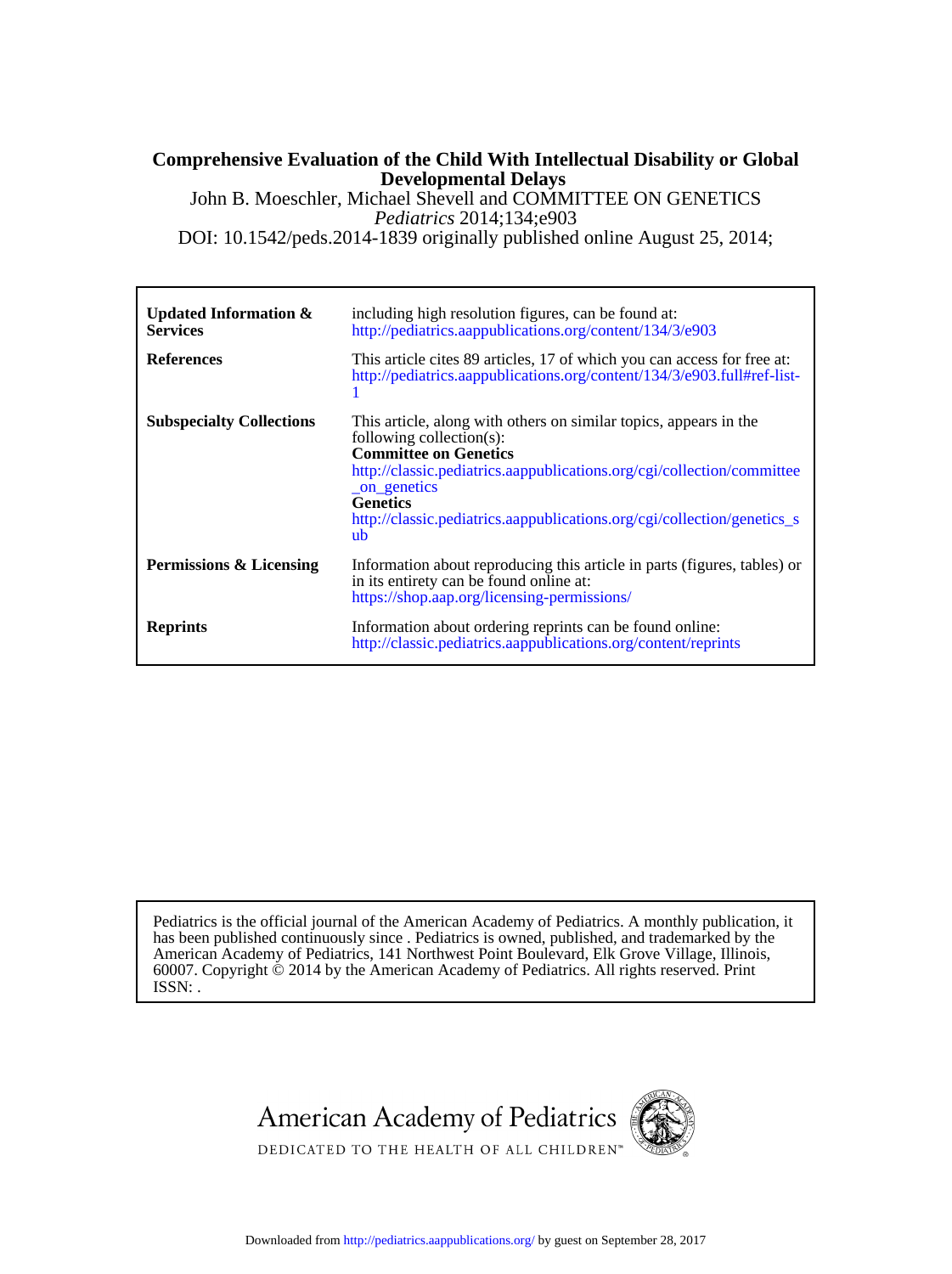### **Developmental Delays Comprehensive Evaluation of the Child With Intellectual Disability or Global**

DOI: 10.1542/peds.2014-1839 originally published online August 25, 2014; *Pediatrics* 2014;134;e903 John B. Moeschler, Michael Shevell and COMMITTEE ON GENETICS

| <b>Updated Information &amp;</b><br><b>Services</b> | including high resolution figures, can be found at:<br>http://pediatrics.aappublications.org/content/134/3/e903                                                                                                                                                                                                             |
|-----------------------------------------------------|-----------------------------------------------------------------------------------------------------------------------------------------------------------------------------------------------------------------------------------------------------------------------------------------------------------------------------|
| <b>References</b>                                   | This article cites 89 articles, 17 of which you can access for free at:<br>http://pediatrics.aappublications.org/content/134/3/e903.full#ref-list-                                                                                                                                                                          |
| <b>Subspecialty Collections</b>                     | This article, along with others on similar topics, appears in the<br>following collection(s):<br><b>Committee on Genetics</b><br>http://classic.pediatrics.aappublications.org/cgi/collection/committee<br>_on_genetics<br><b>Genetics</b><br>http://classic.pediatrics.aappublications.org/cgi/collection/genetics_s<br>ub |
| Permissions & Licensing                             | Information about reproducing this article in parts (figures, tables) or<br>in its entirety can be found online at:<br>https://shop.aap.org/licensing-permissions/                                                                                                                                                          |
| <b>Reprints</b>                                     | Information about ordering reprints can be found online:<br>http://classic.pediatrics.aappublications.org/content/reprints                                                                                                                                                                                                  |

ISSN: . 60007. Copyright © 2014 by the American Academy of Pediatrics. All rights reserved. Print American Academy of Pediatrics, 141 Northwest Point Boulevard, Elk Grove Village, Illinois, has been published continuously since . Pediatrics is owned, published, and trademarked by the Pediatrics is the official journal of the American Academy of Pediatrics. A monthly publication, it



Downloaded from<http://pediatrics.aappublications.org/>by guest on September 28, 2017